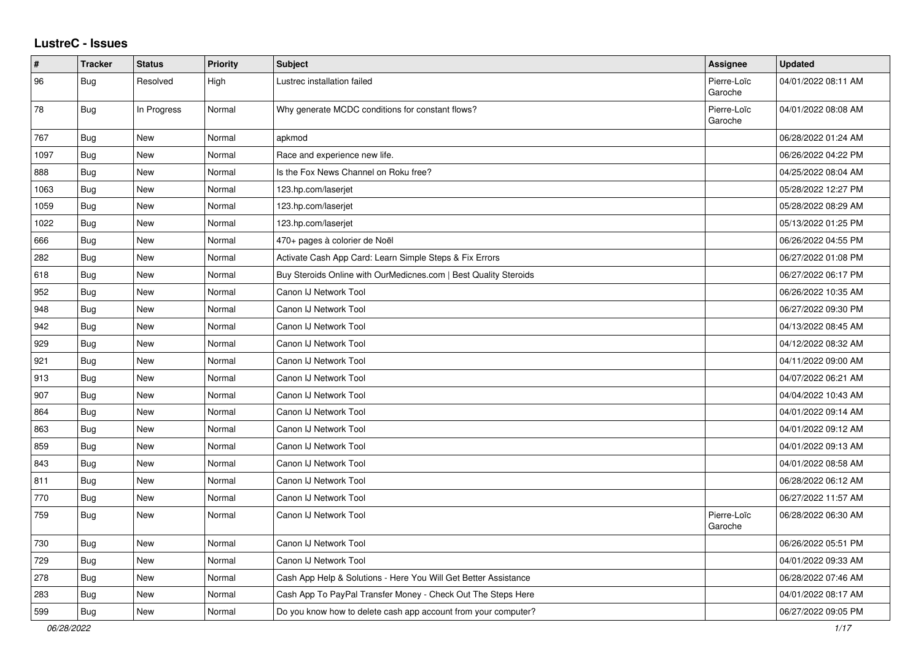## **LustreC - Issues**

| $\sharp$ | <b>Tracker</b> | <b>Status</b> | <b>Priority</b> | <b>Subject</b>                                                   | <b>Assignee</b>        | <b>Updated</b>      |
|----------|----------------|---------------|-----------------|------------------------------------------------------------------|------------------------|---------------------|
| 96       | <b>Bug</b>     | Resolved      | High            | Lustrec installation failed                                      | Pierre-Loïc<br>Garoche | 04/01/2022 08:11 AM |
| 78       | Bug            | In Progress   | Normal          | Why generate MCDC conditions for constant flows?                 | Pierre-Loïc<br>Garoche | 04/01/2022 08:08 AM |
| 767      | <b>Bug</b>     | New           | Normal          | apkmod                                                           |                        | 06/28/2022 01:24 AM |
| 1097     | Bug            | New           | Normal          | Race and experience new life.                                    |                        | 06/26/2022 04:22 PM |
| 888      | <b>Bug</b>     | New           | Normal          | Is the Fox News Channel on Roku free?                            |                        | 04/25/2022 08:04 AM |
| 1063     | Bug            | New           | Normal          | 123.hp.com/laserjet                                              |                        | 05/28/2022 12:27 PM |
| 1059     | Bug            | New           | Normal          | 123.hp.com/laserjet                                              |                        | 05/28/2022 08:29 AM |
| 1022     | <b>Bug</b>     | New           | Normal          | 123.hp.com/laserjet                                              |                        | 05/13/2022 01:25 PM |
| 666      | <b>Bug</b>     | New           | Normal          | 470+ pages à colorier de Noël                                    |                        | 06/26/2022 04:55 PM |
| 282      | <b>Bug</b>     | New           | Normal          | Activate Cash App Card: Learn Simple Steps & Fix Errors          |                        | 06/27/2022 01:08 PM |
| 618      | <b>Bug</b>     | New           | Normal          | Buy Steroids Online with OurMedicnes.com   Best Quality Steroids |                        | 06/27/2022 06:17 PM |
| 952      | <b>Bug</b>     | New           | Normal          | Canon IJ Network Tool                                            |                        | 06/26/2022 10:35 AM |
| 948      | Bug            | New           | Normal          | Canon IJ Network Tool                                            |                        | 06/27/2022 09:30 PM |
| 942      | <b>Bug</b>     | New           | Normal          | Canon IJ Network Tool                                            |                        | 04/13/2022 08:45 AM |
| 929      | Bug            | New           | Normal          | Canon IJ Network Tool                                            |                        | 04/12/2022 08:32 AM |
| 921      | <b>Bug</b>     | New           | Normal          | Canon IJ Network Tool                                            |                        | 04/11/2022 09:00 AM |
| 913      | Bug            | New           | Normal          | Canon IJ Network Tool                                            |                        | 04/07/2022 06:21 AM |
| 907      | Bug            | New           | Normal          | Canon IJ Network Tool                                            |                        | 04/04/2022 10:43 AM |
| 864      | <b>Bug</b>     | New           | Normal          | Canon IJ Network Tool                                            |                        | 04/01/2022 09:14 AM |
| 863      | Bug            | <b>New</b>    | Normal          | Canon IJ Network Tool                                            |                        | 04/01/2022 09:12 AM |
| 859      | Bug            | New           | Normal          | Canon IJ Network Tool                                            |                        | 04/01/2022 09:13 AM |
| 843      | Bug            | New           | Normal          | Canon IJ Network Tool                                            |                        | 04/01/2022 08:58 AM |
| 811      | <b>Bug</b>     | New           | Normal          | Canon IJ Network Tool                                            |                        | 06/28/2022 06:12 AM |
| 770      | <b>Bug</b>     | New           | Normal          | Canon IJ Network Tool                                            |                        | 06/27/2022 11:57 AM |
| 759      | Bug            | New           | Normal          | Canon IJ Network Tool                                            | Pierre-Loïc<br>Garoche | 06/28/2022 06:30 AM |
| 730      | <b>Bug</b>     | New           | Normal          | Canon IJ Network Tool                                            |                        | 06/26/2022 05:51 PM |
| 729      | <b>Bug</b>     | New           | Normal          | Canon IJ Network Tool                                            |                        | 04/01/2022 09:33 AM |
| 278      | Bug            | New           | Normal          | Cash App Help & Solutions - Here You Will Get Better Assistance  |                        | 06/28/2022 07:46 AM |
| 283      | Bug            | New           | Normal          | Cash App To PayPal Transfer Money - Check Out The Steps Here     |                        | 04/01/2022 08:17 AM |
| 599      | <b>Bug</b>     | New           | Normal          | Do you know how to delete cash app account from your computer?   |                        | 06/27/2022 09:05 PM |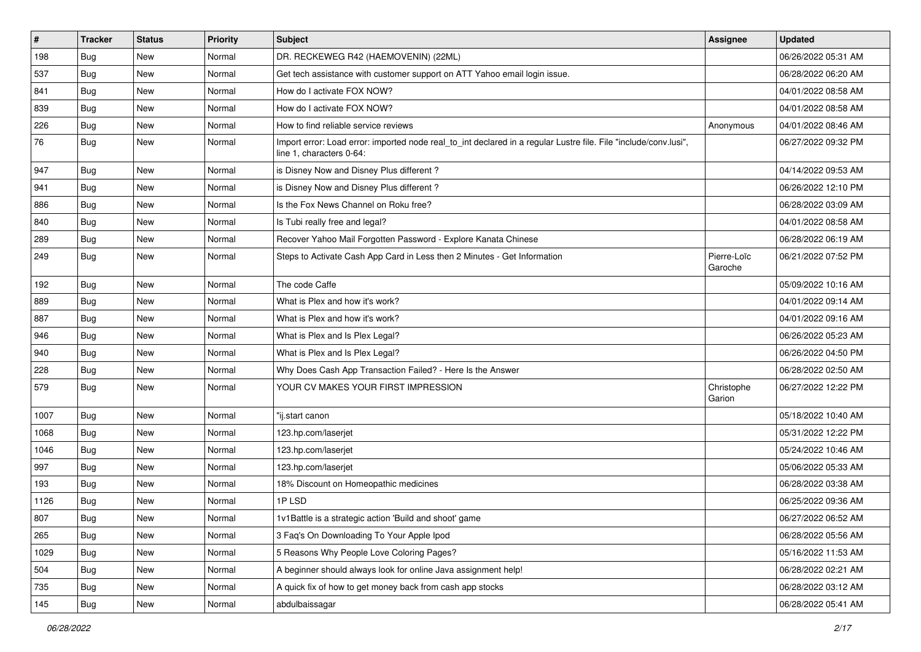| $\vert$ # | <b>Tracker</b> | <b>Status</b> | <b>Priority</b> | <b>Subject</b>                                                                                                                               | Assignee               | <b>Updated</b>      |
|-----------|----------------|---------------|-----------------|----------------------------------------------------------------------------------------------------------------------------------------------|------------------------|---------------------|
| 198       | <b>Bug</b>     | New           | Normal          | DR. RECKEWEG R42 (HAEMOVENIN) (22ML)                                                                                                         |                        | 06/26/2022 05:31 AM |
| 537       | <b>Bug</b>     | <b>New</b>    | Normal          | Get tech assistance with customer support on ATT Yahoo email login issue.                                                                    |                        | 06/28/2022 06:20 AM |
| 841       | <b>Bug</b>     | New           | Normal          | How do I activate FOX NOW?                                                                                                                   |                        | 04/01/2022 08:58 AM |
| 839       | <b>Bug</b>     | New           | Normal          | How do I activate FOX NOW?                                                                                                                   |                        | 04/01/2022 08:58 AM |
| 226       | <b>Bug</b>     | New           | Normal          | How to find reliable service reviews                                                                                                         | Anonymous              | 04/01/2022 08:46 AM |
| 76        | Bug            | New           | Normal          | Import error: Load error: imported node real_to_int declared in a regular Lustre file. File "include/conv.lusi",<br>line 1, characters 0-64: |                        | 06/27/2022 09:32 PM |
| 947       | <b>Bug</b>     | New           | Normal          | is Disney Now and Disney Plus different?                                                                                                     |                        | 04/14/2022 09:53 AM |
| 941       | Bug            | New           | Normal          | is Disney Now and Disney Plus different?                                                                                                     |                        | 06/26/2022 12:10 PM |
| 886       | <b>Bug</b>     | New           | Normal          | Is the Fox News Channel on Roku free?                                                                                                        |                        | 06/28/2022 03:09 AM |
| 840       | <b>Bug</b>     | New           | Normal          | Is Tubi really free and legal?                                                                                                               |                        | 04/01/2022 08:58 AM |
| 289       | <b>Bug</b>     | New           | Normal          | Recover Yahoo Mail Forgotten Password - Explore Kanata Chinese                                                                               |                        | 06/28/2022 06:19 AM |
| 249       | Bug            | New           | Normal          | Steps to Activate Cash App Card in Less then 2 Minutes - Get Information                                                                     | Pierre-Loïc<br>Garoche | 06/21/2022 07:52 PM |
| 192       | Bug            | <b>New</b>    | Normal          | The code Caffe                                                                                                                               |                        | 05/09/2022 10:16 AM |
| 889       | <b>Bug</b>     | New           | Normal          | What is Plex and how it's work?                                                                                                              |                        | 04/01/2022 09:14 AM |
| 887       | <b>Bug</b>     | New           | Normal          | What is Plex and how it's work?                                                                                                              |                        | 04/01/2022 09:16 AM |
| 946       | Bug            | New           | Normal          | What is Plex and Is Plex Legal?                                                                                                              |                        | 06/26/2022 05:23 AM |
| 940       | <b>Bug</b>     | New           | Normal          | What is Plex and Is Plex Legal?                                                                                                              |                        | 06/26/2022 04:50 PM |
| 228       | <b>Bug</b>     | New           | Normal          | Why Does Cash App Transaction Failed? - Here Is the Answer                                                                                   |                        | 06/28/2022 02:50 AM |
| 579       | Bug            | New           | Normal          | YOUR CV MAKES YOUR FIRST IMPRESSION                                                                                                          | Christophe<br>Garion   | 06/27/2022 12:22 PM |
| 1007      | Bug            | <b>New</b>    | Normal          | "ij.start canon                                                                                                                              |                        | 05/18/2022 10:40 AM |
| 1068      | <b>Bug</b>     | New           | Normal          | 123.hp.com/laserjet                                                                                                                          |                        | 05/31/2022 12:22 PM |
| 1046      | Bug            | New           | Normal          | 123.hp.com/laserjet                                                                                                                          |                        | 05/24/2022 10:46 AM |
| 997       | <b>Bug</b>     | New           | Normal          | 123.hp.com/laserjet                                                                                                                          |                        | 05/06/2022 05:33 AM |
| 193       | Bug            | New           | Normal          | 18% Discount on Homeopathic medicines                                                                                                        |                        | 06/28/2022 03:38 AM |
| 1126      | Bug            | New           | Normal          | 1PLSD                                                                                                                                        |                        | 06/25/2022 09:36 AM |
| 807       | Bug            | New           | Normal          | 1v1Battle is a strategic action 'Build and shoot' game                                                                                       |                        | 06/27/2022 06:52 AM |
| 265       | Bug            | New           | Normal          | 3 Faq's On Downloading To Your Apple Ipod                                                                                                    |                        | 06/28/2022 05:56 AM |
| 1029      | Bug            | New           | Normal          | 5 Reasons Why People Love Coloring Pages?                                                                                                    |                        | 05/16/2022 11:53 AM |
| 504       | <b>Bug</b>     | New           | Normal          | A beginner should always look for online Java assignment help!                                                                               |                        | 06/28/2022 02:21 AM |
| 735       | Bug            | New           | Normal          | A quick fix of how to get money back from cash app stocks                                                                                    |                        | 06/28/2022 03:12 AM |
| 145       | <b>Bug</b>     | New           | Normal          | abdulbaissagar                                                                                                                               |                        | 06/28/2022 05:41 AM |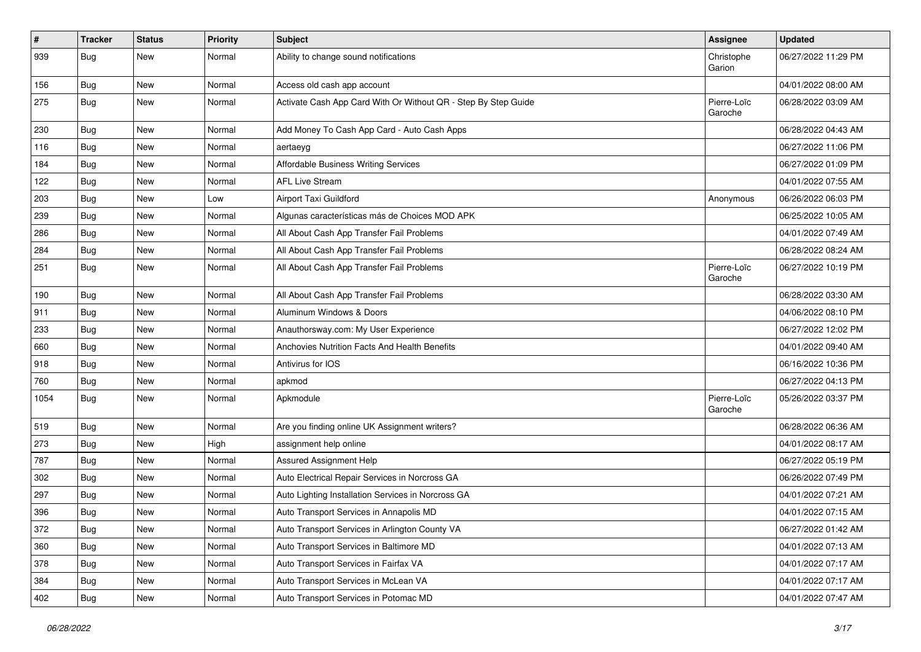| $\vert$ # | <b>Tracker</b> | <b>Status</b> | <b>Priority</b> | Subject                                                        | Assignee               | <b>Updated</b>      |
|-----------|----------------|---------------|-----------------|----------------------------------------------------------------|------------------------|---------------------|
| 939       | Bug            | New           | Normal          | Ability to change sound notifications                          | Christophe<br>Garion   | 06/27/2022 11:29 PM |
| 156       | Bug            | New           | Normal          | Access old cash app account                                    |                        | 04/01/2022 08:00 AM |
| 275       | Bug            | New           | Normal          | Activate Cash App Card With Or Without QR - Step By Step Guide | Pierre-Loïc<br>Garoche | 06/28/2022 03:09 AM |
| 230       | <b>Bug</b>     | <b>New</b>    | Normal          | Add Money To Cash App Card - Auto Cash Apps                    |                        | 06/28/2022 04:43 AM |
| 116       | Bug            | <b>New</b>    | Normal          | aertaeyg                                                       |                        | 06/27/2022 11:06 PM |
| 184       | <b>Bug</b>     | New           | Normal          | Affordable Business Writing Services                           |                        | 06/27/2022 01:09 PM |
| 122       | Bug            | <b>New</b>    | Normal          | <b>AFL Live Stream</b>                                         |                        | 04/01/2022 07:55 AM |
| 203       | <b>Bug</b>     | <b>New</b>    | Low             | Airport Taxi Guildford                                         | Anonymous              | 06/26/2022 06:03 PM |
| 239       | Bug            | New           | Normal          | Algunas características más de Choices MOD APK                 |                        | 06/25/2022 10:05 AM |
| 286       | Bug            | <b>New</b>    | Normal          | All About Cash App Transfer Fail Problems                      |                        | 04/01/2022 07:49 AM |
| 284       | <b>Bug</b>     | <b>New</b>    | Normal          | All About Cash App Transfer Fail Problems                      |                        | 06/28/2022 08:24 AM |
| 251       | Bug            | <b>New</b>    | Normal          | All About Cash App Transfer Fail Problems                      | Pierre-Loïc<br>Garoche | 06/27/2022 10:19 PM |
| 190       | Bug            | <b>New</b>    | Normal          | All About Cash App Transfer Fail Problems                      |                        | 06/28/2022 03:30 AM |
| 911       | Bug            | New           | Normal          | Aluminum Windows & Doors                                       |                        | 04/06/2022 08:10 PM |
| 233       | <b>Bug</b>     | <b>New</b>    | Normal          | Anauthorsway.com: My User Experience                           |                        | 06/27/2022 12:02 PM |
| 660       | Bug            | New           | Normal          | Anchovies Nutrition Facts And Health Benefits                  |                        | 04/01/2022 09:40 AM |
| 918       | Bug            | New           | Normal          | Antivirus for IOS                                              |                        | 06/16/2022 10:36 PM |
| 760       | <b>Bug</b>     | <b>New</b>    | Normal          | apkmod                                                         |                        | 06/27/2022 04:13 PM |
| 1054      | Bug            | New           | Normal          | Apkmodule                                                      | Pierre-Loïc<br>Garoche | 05/26/2022 03:37 PM |
| 519       | Bug            | <b>New</b>    | Normal          | Are you finding online UK Assignment writers?                  |                        | 06/28/2022 06:36 AM |
| 273       | Bug            | New           | High            | assignment help online                                         |                        | 04/01/2022 08:17 AM |
| 787       | <b>Bug</b>     | <b>New</b>    | Normal          | Assured Assignment Help                                        |                        | 06/27/2022 05:19 PM |
| 302       | Bug            | New           | Normal          | Auto Electrical Repair Services in Norcross GA                 |                        | 06/26/2022 07:49 PM |
| 297       | Bug            | New           | Normal          | Auto Lighting Installation Services in Norcross GA             |                        | 04/01/2022 07:21 AM |
| 396       | Bug            | New           | Normal          | Auto Transport Services in Annapolis MD                        |                        | 04/01/2022 07:15 AM |
| 372       | <b>Bug</b>     | New           | Normal          | Auto Transport Services in Arlington County VA                 |                        | 06/27/2022 01:42 AM |
| 360       | Bug            | New           | Normal          | Auto Transport Services in Baltimore MD                        |                        | 04/01/2022 07:13 AM |
| 378       | <b>Bug</b>     | New           | Normal          | Auto Transport Services in Fairfax VA                          |                        | 04/01/2022 07:17 AM |
| 384       | <b>Bug</b>     | New           | Normal          | Auto Transport Services in McLean VA                           |                        | 04/01/2022 07:17 AM |
| 402       | <b>Bug</b>     | New           | Normal          | Auto Transport Services in Potomac MD                          |                        | 04/01/2022 07:47 AM |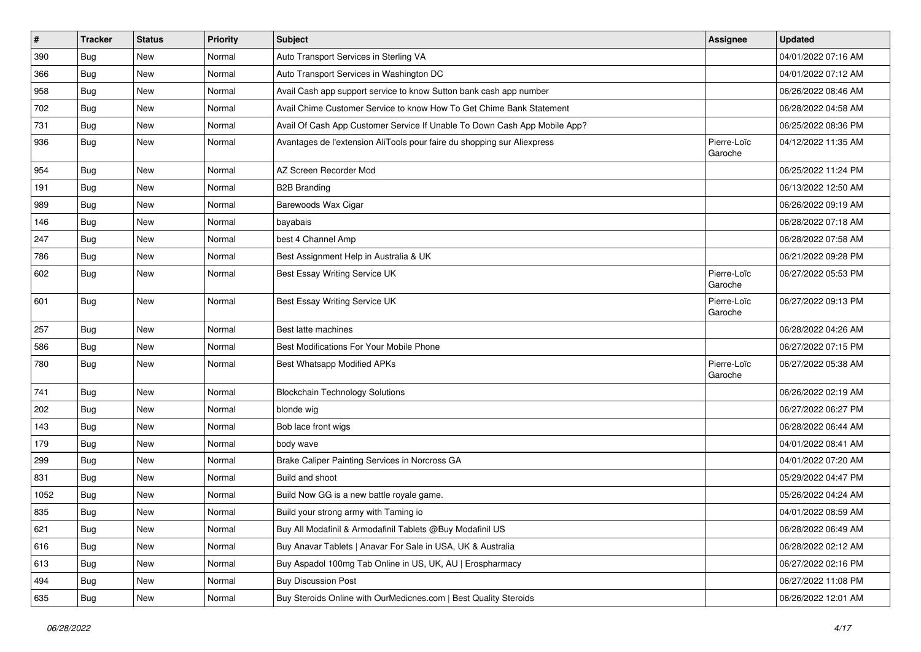| $\pmb{\#}$ | <b>Tracker</b> | <b>Status</b> | <b>Priority</b> | Subject                                                                   | Assignee               | <b>Updated</b>      |
|------------|----------------|---------------|-----------------|---------------------------------------------------------------------------|------------------------|---------------------|
| 390        | <b>Bug</b>     | New           | Normal          | Auto Transport Services in Sterling VA                                    |                        | 04/01/2022 07:16 AM |
| 366        | Bug            | <b>New</b>    | Normal          | Auto Transport Services in Washington DC                                  |                        | 04/01/2022 07:12 AM |
| 958        | Bug            | New           | Normal          | Avail Cash app support service to know Sutton bank cash app number        |                        | 06/26/2022 08:46 AM |
| 702        | <b>Bug</b>     | New           | Normal          | Avail Chime Customer Service to know How To Get Chime Bank Statement      |                        | 06/28/2022 04:58 AM |
| 731        | Bug            | New           | Normal          | Avail Of Cash App Customer Service If Unable To Down Cash App Mobile App? |                        | 06/25/2022 08:36 PM |
| 936        | <b>Bug</b>     | New           | Normal          | Avantages de l'extension AliTools pour faire du shopping sur Aliexpress   | Pierre-Loïc<br>Garoche | 04/12/2022 11:35 AM |
| 954        | Bug            | New           | Normal          | AZ Screen Recorder Mod                                                    |                        | 06/25/2022 11:24 PM |
| 191        | Bug            | New           | Normal          | <b>B2B Branding</b>                                                       |                        | 06/13/2022 12:50 AM |
| 989        | Bug            | New           | Normal          | Barewoods Wax Cigar                                                       |                        | 06/26/2022 09:19 AM |
| 146        | <b>Bug</b>     | New           | Normal          | bayabais                                                                  |                        | 06/28/2022 07:18 AM |
| 247        | <b>Bug</b>     | New           | Normal          | best 4 Channel Amp                                                        |                        | 06/28/2022 07:58 AM |
| 786        | Bug            | New           | Normal          | Best Assignment Help in Australia & UK                                    |                        | 06/21/2022 09:28 PM |
| 602        | <b>Bug</b>     | New           | Normal          | Best Essay Writing Service UK                                             | Pierre-Loïc<br>Garoche | 06/27/2022 05:53 PM |
| 601        | Bug            | New           | Normal          | Best Essay Writing Service UK                                             | Pierre-Loïc<br>Garoche | 06/27/2022 09:13 PM |
| 257        | Bug            | New           | Normal          | Best latte machines                                                       |                        | 06/28/2022 04:26 AM |
| 586        | <b>Bug</b>     | New           | Normal          | Best Modifications For Your Mobile Phone                                  |                        | 06/27/2022 07:15 PM |
| 780        | <b>Bug</b>     | New           | Normal          | Best Whatsapp Modified APKs                                               | Pierre-Loïc<br>Garoche | 06/27/2022 05:38 AM |
| 741        | Bug            | New           | Normal          | <b>Blockchain Technology Solutions</b>                                    |                        | 06/26/2022 02:19 AM |
| 202        | Bug            | New           | Normal          | blonde wig                                                                |                        | 06/27/2022 06:27 PM |
| 143        | Bug            | New           | Normal          | Bob lace front wigs                                                       |                        | 06/28/2022 06:44 AM |
| 179        | Bug            | New           | Normal          | body wave                                                                 |                        | 04/01/2022 08:41 AM |
| 299        | Bug            | New           | Normal          | Brake Caliper Painting Services in Norcross GA                            |                        | 04/01/2022 07:20 AM |
| 831        | <b>Bug</b>     | New           | Normal          | Build and shoot                                                           |                        | 05/29/2022 04:47 PM |
| 1052       | <b>Bug</b>     | New           | Normal          | Build Now GG is a new battle royale game.                                 |                        | 05/26/2022 04:24 AM |
| 835        | <b>Bug</b>     | New           | Normal          | Build your strong army with Taming io                                     |                        | 04/01/2022 08:59 AM |
| 621        | <b>Bug</b>     | New           | Normal          | Buy All Modafinil & Armodafinil Tablets @Buy Modafinil US                 |                        | 06/28/2022 06:49 AM |
| 616        | Bug            | New           | Normal          | Buy Anavar Tablets   Anavar For Sale in USA, UK & Australia               |                        | 06/28/2022 02:12 AM |
| 613        | <b>Bug</b>     | New           | Normal          | Buy Aspadol 100mg Tab Online in US, UK, AU   Erospharmacy                 |                        | 06/27/2022 02:16 PM |
| 494        | <b>Bug</b>     | New           | Normal          | <b>Buy Discussion Post</b>                                                |                        | 06/27/2022 11:08 PM |
| 635        | <b>Bug</b>     | New           | Normal          | Buy Steroids Online with OurMedicnes.com   Best Quality Steroids          |                        | 06/26/2022 12:01 AM |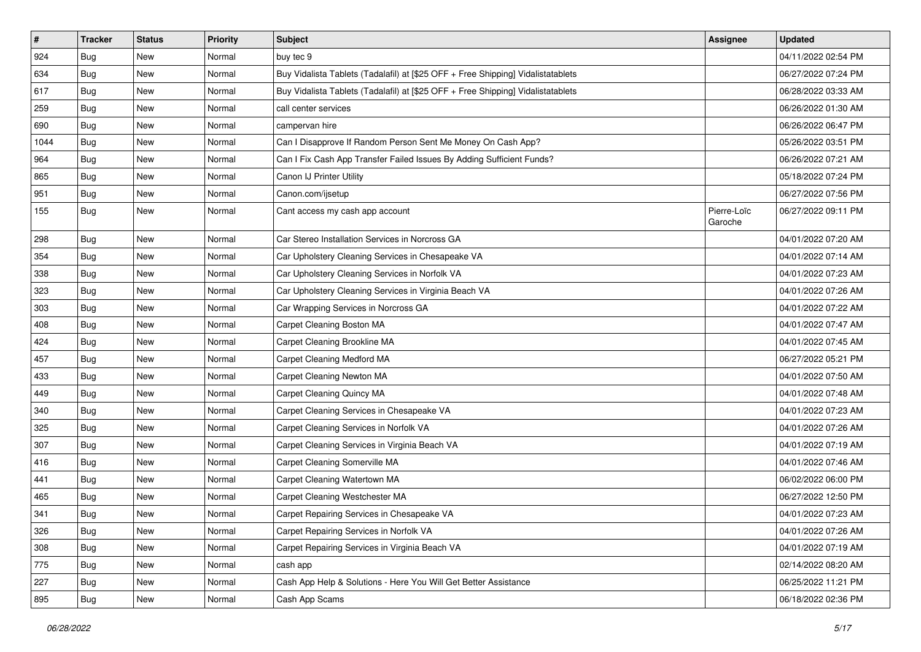| $\vert$ # | <b>Tracker</b> | <b>Status</b> | <b>Priority</b> | Subject                                                                          | <b>Assignee</b>        | <b>Updated</b>      |
|-----------|----------------|---------------|-----------------|----------------------------------------------------------------------------------|------------------------|---------------------|
| 924       | <b>Bug</b>     | New           | Normal          | buy tec 9                                                                        |                        | 04/11/2022 02:54 PM |
| 634       | Bug            | <b>New</b>    | Normal          | Buy Vidalista Tablets (Tadalafil) at [\$25 OFF + Free Shipping] Vidalistatablets |                        | 06/27/2022 07:24 PM |
| 617       | <b>Bug</b>     | New           | Normal          | Buy Vidalista Tablets (Tadalafil) at [\$25 OFF + Free Shipping] Vidalistatablets |                        | 06/28/2022 03:33 AM |
| 259       | Bug            | New           | Normal          | call center services                                                             |                        | 06/26/2022 01:30 AM |
| 690       | <b>Bug</b>     | New           | Normal          | campervan hire                                                                   |                        | 06/26/2022 06:47 PM |
| 1044      | <b>Bug</b>     | New           | Normal          | Can I Disapprove If Random Person Sent Me Money On Cash App?                     |                        | 05/26/2022 03:51 PM |
| 964       | Bug            | New           | Normal          | Can I Fix Cash App Transfer Failed Issues By Adding Sufficient Funds?            |                        | 06/26/2022 07:21 AM |
| 865       | <b>Bug</b>     | New           | Normal          | Canon IJ Printer Utility                                                         |                        | 05/18/2022 07:24 PM |
| 951       | <b>Bug</b>     | <b>New</b>    | Normal          | Canon.com/ijsetup                                                                |                        | 06/27/2022 07:56 PM |
| 155       | Bug            | <b>New</b>    | Normal          | Cant access my cash app account                                                  | Pierre-Loïc<br>Garoche | 06/27/2022 09:11 PM |
| 298       | <b>Bug</b>     | <b>New</b>    | Normal          | Car Stereo Installation Services in Norcross GA                                  |                        | 04/01/2022 07:20 AM |
| 354       | Bug            | New           | Normal          | Car Upholstery Cleaning Services in Chesapeake VA                                |                        | 04/01/2022 07:14 AM |
| 338       | Bug            | New           | Normal          | Car Upholstery Cleaning Services in Norfolk VA                                   |                        | 04/01/2022 07:23 AM |
| 323       | Bug            | <b>New</b>    | Normal          | Car Upholstery Cleaning Services in Virginia Beach VA                            |                        | 04/01/2022 07:26 AM |
| 303       | Bug            | New           | Normal          | Car Wrapping Services in Norcross GA                                             |                        | 04/01/2022 07:22 AM |
| 408       | <b>Bug</b>     | New           | Normal          | Carpet Cleaning Boston MA                                                        |                        | 04/01/2022 07:47 AM |
| 424       | <b>Bug</b>     | New           | Normal          | Carpet Cleaning Brookline MA                                                     |                        | 04/01/2022 07:45 AM |
| 457       | Bug            | New           | Normal          | Carpet Cleaning Medford MA                                                       |                        | 06/27/2022 05:21 PM |
| 433       | <b>Bug</b>     | New           | Normal          | Carpet Cleaning Newton MA                                                        |                        | 04/01/2022 07:50 AM |
| 449       | <b>Bug</b>     | <b>New</b>    | Normal          | Carpet Cleaning Quincy MA                                                        |                        | 04/01/2022 07:48 AM |
| 340       | Bug            | New           | Normal          | Carpet Cleaning Services in Chesapeake VA                                        |                        | 04/01/2022 07:23 AM |
| 325       | <b>Bug</b>     | New           | Normal          | Carpet Cleaning Services in Norfolk VA                                           |                        | 04/01/2022 07:26 AM |
| 307       | Bug            | New           | Normal          | Carpet Cleaning Services in Virginia Beach VA                                    |                        | 04/01/2022 07:19 AM |
| 416       | Bug            | New           | Normal          | Carpet Cleaning Somerville MA                                                    |                        | 04/01/2022 07:46 AM |
| 441       | <b>Bug</b>     | New           | Normal          | Carpet Cleaning Watertown MA                                                     |                        | 06/02/2022 06:00 PM |
| 465       | Bug            | New           | Normal          | Carpet Cleaning Westchester MA                                                   |                        | 06/27/2022 12:50 PM |
| 341       | Bug            | New           | Normal          | Carpet Repairing Services in Chesapeake VA                                       |                        | 04/01/2022 07:23 AM |
| 326       | <b>Bug</b>     | New           | Normal          | Carpet Repairing Services in Norfolk VA                                          |                        | 04/01/2022 07:26 AM |
| 308       | Bug            | <b>New</b>    | Normal          | Carpet Repairing Services in Virginia Beach VA                                   |                        | 04/01/2022 07:19 AM |
| 775       | <b>Bug</b>     | New           | Normal          | cash app                                                                         |                        | 02/14/2022 08:20 AM |
| 227       | Bug            | New           | Normal          | Cash App Help & Solutions - Here You Will Get Better Assistance                  |                        | 06/25/2022 11:21 PM |
| 895       | <b>Bug</b>     | New           | Normal          | Cash App Scams                                                                   |                        | 06/18/2022 02:36 PM |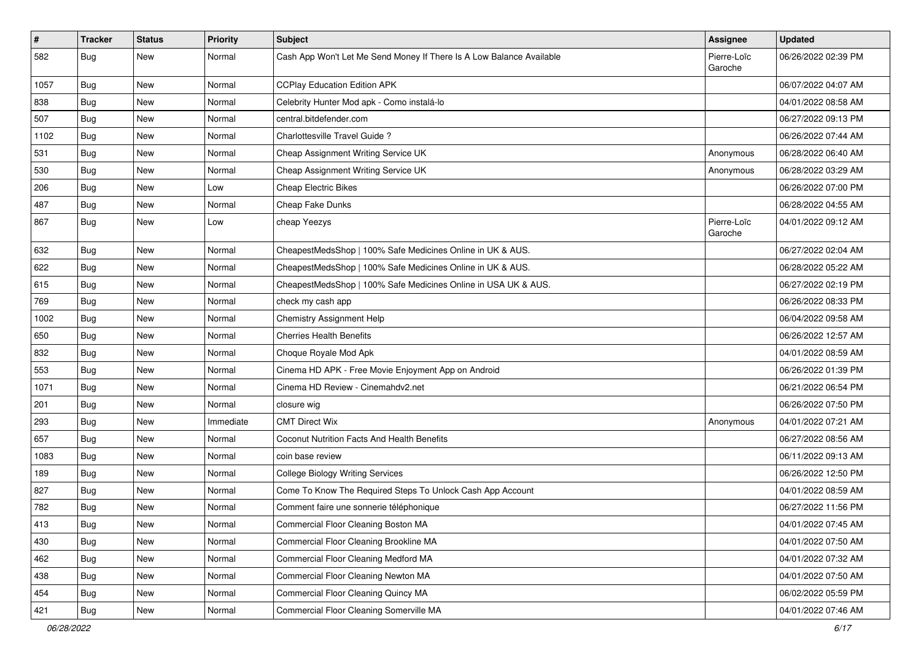| $\sharp$ | <b>Tracker</b> | <b>Status</b> | <b>Priority</b> | <b>Subject</b>                                                       | Assignee               | <b>Updated</b>      |
|----------|----------------|---------------|-----------------|----------------------------------------------------------------------|------------------------|---------------------|
| 582      | <b>Bug</b>     | New           | Normal          | Cash App Won't Let Me Send Money If There Is A Low Balance Available | Pierre-Loïc<br>Garoche | 06/26/2022 02:39 PM |
| 1057     | <b>Bug</b>     | New           | Normal          | <b>CCPlay Education Edition APK</b>                                  |                        | 06/07/2022 04:07 AM |
| 838      | <b>Bug</b>     | New           | Normal          | Celebrity Hunter Mod apk - Como instalá-lo                           |                        | 04/01/2022 08:58 AM |
| 507      | <b>Bug</b>     | New           | Normal          | central.bitdefender.com                                              |                        | 06/27/2022 09:13 PM |
| 1102     | <b>Bug</b>     | New           | Normal          | Charlottesville Travel Guide?                                        |                        | 06/26/2022 07:44 AM |
| 531      | <b>Bug</b>     | New           | Normal          | Cheap Assignment Writing Service UK                                  | Anonymous              | 06/28/2022 06:40 AM |
| 530      | <b>Bug</b>     | New           | Normal          | Cheap Assignment Writing Service UK                                  | Anonymous              | 06/28/2022 03:29 AM |
| 206      | Bug            | New           | Low             | <b>Cheap Electric Bikes</b>                                          |                        | 06/26/2022 07:00 PM |
| 487      | <b>Bug</b>     | New           | Normal          | Cheap Fake Dunks                                                     |                        | 06/28/2022 04:55 AM |
| 867      | Bug            | New           | Low             | cheap Yeezys                                                         | Pierre-Loïc<br>Garoche | 04/01/2022 09:12 AM |
| 632      | <b>Bug</b>     | New           | Normal          | CheapestMedsShop   100% Safe Medicines Online in UK & AUS.           |                        | 06/27/2022 02:04 AM |
| 622      | <b>Bug</b>     | New           | Normal          | CheapestMedsShop   100% Safe Medicines Online in UK & AUS.           |                        | 06/28/2022 05:22 AM |
| 615      | <b>Bug</b>     | New           | Normal          | CheapestMedsShop   100% Safe Medicines Online in USA UK & AUS.       |                        | 06/27/2022 02:19 PM |
| 769      | <b>Bug</b>     | <b>New</b>    | Normal          | check my cash app                                                    |                        | 06/26/2022 08:33 PM |
| 1002     | <b>Bug</b>     | New           | Normal          | Chemistry Assignment Help                                            |                        | 06/04/2022 09:58 AM |
| 650      | <b>Bug</b>     | New           | Normal          | <b>Cherries Health Benefits</b>                                      |                        | 06/26/2022 12:57 AM |
| 832      | <b>Bug</b>     | New           | Normal          | Choque Royale Mod Apk                                                |                        | 04/01/2022 08:59 AM |
| 553      | Bug            | New           | Normal          | Cinema HD APK - Free Movie Enjoyment App on Android                  |                        | 06/26/2022 01:39 PM |
| 1071     | <b>Bug</b>     | New           | Normal          | Cinema HD Review - Cinemahdv2.net                                    |                        | 06/21/2022 06:54 PM |
| 201      | <b>Bug</b>     | New           | Normal          | closure wig                                                          |                        | 06/26/2022 07:50 PM |
| 293      | <b>Bug</b>     | <b>New</b>    | Immediate       | <b>CMT Direct Wix</b>                                                | Anonymous              | 04/01/2022 07:21 AM |
| 657      | <b>Bug</b>     | New           | Normal          | Coconut Nutrition Facts And Health Benefits                          |                        | 06/27/2022 08:56 AM |
| 1083     | Bug            | New           | Normal          | coin base review                                                     |                        | 06/11/2022 09:13 AM |
| 189      | <b>Bug</b>     | New           | Normal          | <b>College Biology Writing Services</b>                              |                        | 06/26/2022 12:50 PM |
| 827      | <b>Bug</b>     | New           | Normal          | Come To Know The Required Steps To Unlock Cash App Account           |                        | 04/01/2022 08:59 AM |
| 782      | <b>Bug</b>     | New           | Normal          | Comment faire une sonnerie téléphonique                              |                        | 06/27/2022 11:56 PM |
| 413      | Bug            | New           | Normal          | Commercial Floor Cleaning Boston MA                                  |                        | 04/01/2022 07:45 AM |
| 430      | Bug            | New           | Normal          | Commercial Floor Cleaning Brookline MA                               |                        | 04/01/2022 07:50 AM |
| 462      | <b>Bug</b>     | New           | Normal          | Commercial Floor Cleaning Medford MA                                 |                        | 04/01/2022 07:32 AM |
| 438      | Bug            | New           | Normal          | Commercial Floor Cleaning Newton MA                                  |                        | 04/01/2022 07:50 AM |
| 454      | Bug            | New           | Normal          | Commercial Floor Cleaning Quincy MA                                  |                        | 06/02/2022 05:59 PM |
| 421      | <b>Bug</b>     | New           | Normal          | Commercial Floor Cleaning Somerville MA                              |                        | 04/01/2022 07:46 AM |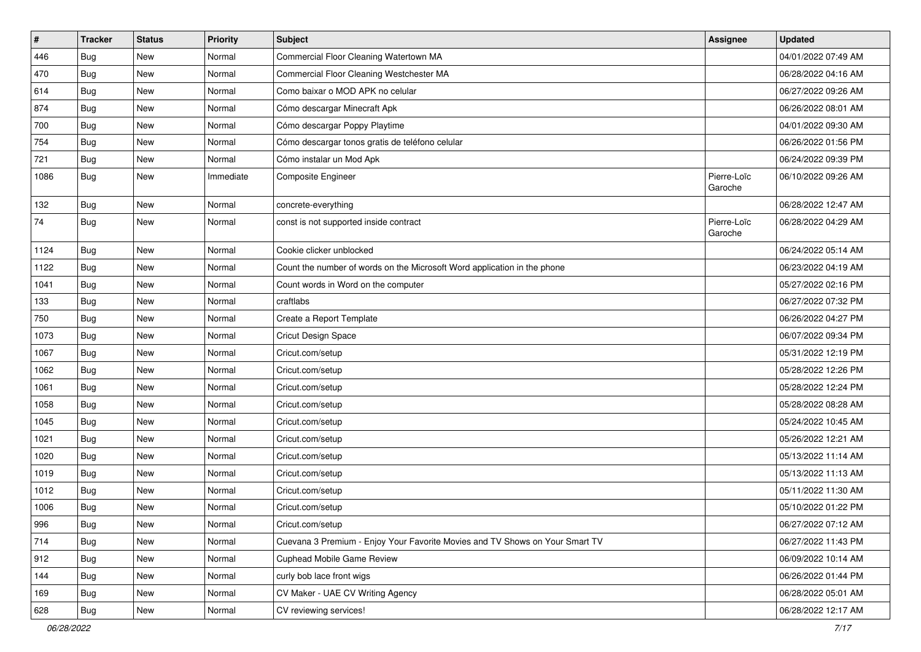| #    | <b>Tracker</b> | <b>Status</b> | <b>Priority</b> | <b>Subject</b>                                                               | Assignee               | <b>Updated</b>      |
|------|----------------|---------------|-----------------|------------------------------------------------------------------------------|------------------------|---------------------|
| 446  | Bug            | New           | Normal          | Commercial Floor Cleaning Watertown MA                                       |                        | 04/01/2022 07:49 AM |
| 470  | <b>Bug</b>     | New           | Normal          | Commercial Floor Cleaning Westchester MA                                     |                        | 06/28/2022 04:16 AM |
| 614  | <b>Bug</b>     | New           | Normal          | Como baixar o MOD APK no celular                                             |                        | 06/27/2022 09:26 AM |
| 874  | Bug            | New           | Normal          | Cómo descargar Minecraft Apk                                                 |                        | 06/26/2022 08:01 AM |
| 700  | <b>Bug</b>     | New           | Normal          | Cómo descargar Poppy Playtime                                                |                        | 04/01/2022 09:30 AM |
| 754  | <b>Bug</b>     | New           | Normal          | Cómo descargar tonos gratis de teléfono celular                              |                        | 06/26/2022 01:56 PM |
| 721  | <b>Bug</b>     | <b>New</b>    | Normal          | Cómo instalar un Mod Apk                                                     |                        | 06/24/2022 09:39 PM |
| 1086 | Bug            | New           | Immediate       | Composite Engineer                                                           | Pierre-Loïc<br>Garoche | 06/10/2022 09:26 AM |
| 132  | Bug            | New           | Normal          | concrete-everything                                                          |                        | 06/28/2022 12:47 AM |
| 74   | Bug            | New           | Normal          | const is not supported inside contract                                       | Pierre-Loïc<br>Garoche | 06/28/2022 04:29 AM |
| 1124 | <b>Bug</b>     | New           | Normal          | Cookie clicker unblocked                                                     |                        | 06/24/2022 05:14 AM |
| 1122 | <b>Bug</b>     | New           | Normal          | Count the number of words on the Microsoft Word application in the phone     |                        | 06/23/2022 04:19 AM |
| 1041 | <b>Bug</b>     | <b>New</b>    | Normal          | Count words in Word on the computer                                          |                        | 05/27/2022 02:16 PM |
| 133  | <b>Bug</b>     | New           | Normal          | craftlabs                                                                    |                        | 06/27/2022 07:32 PM |
| 750  | <b>Bug</b>     | New           | Normal          | Create a Report Template                                                     |                        | 06/26/2022 04:27 PM |
| 1073 | Bug            | New           | Normal          | Cricut Design Space                                                          |                        | 06/07/2022 09:34 PM |
| 1067 | <b>Bug</b>     | New           | Normal          | Cricut.com/setup                                                             |                        | 05/31/2022 12:19 PM |
| 1062 | Bug            | New           | Normal          | Cricut.com/setup                                                             |                        | 05/28/2022 12:26 PM |
| 1061 | <b>Bug</b>     | New           | Normal          | Cricut.com/setup                                                             |                        | 05/28/2022 12:24 PM |
| 1058 | <b>Bug</b>     | New           | Normal          | Cricut.com/setup                                                             |                        | 05/28/2022 08:28 AM |
| 1045 | Bug            | New           | Normal          | Cricut.com/setup                                                             |                        | 05/24/2022 10:45 AM |
| 1021 | Bug            | New           | Normal          | Cricut.com/setup                                                             |                        | 05/26/2022 12:21 AM |
| 1020 | <b>Bug</b>     | New           | Normal          | Cricut.com/setup                                                             |                        | 05/13/2022 11:14 AM |
| 1019 | <b>Bug</b>     | New           | Normal          | Cricut.com/setup                                                             |                        | 05/13/2022 11:13 AM |
| 1012 | <b>Bug</b>     | New           | Normal          | Cricut.com/setup                                                             |                        | 05/11/2022 11:30 AM |
| 1006 | <b>Bug</b>     | New           | Normal          | Cricut.com/setup                                                             |                        | 05/10/2022 01:22 PM |
| 996  | Bug            | New           | Normal          | Cricut.com/setup                                                             |                        | 06/27/2022 07:12 AM |
| 714  | Bug            | New           | Normal          | Cuevana 3 Premium - Enjoy Your Favorite Movies and TV Shows on Your Smart TV |                        | 06/27/2022 11:43 PM |
| 912  | Bug            | New           | Normal          | <b>Cuphead Mobile Game Review</b>                                            |                        | 06/09/2022 10:14 AM |
| 144  | Bug            | New           | Normal          | curly bob lace front wigs                                                    |                        | 06/26/2022 01:44 PM |
| 169  | <b>Bug</b>     | New           | Normal          | CV Maker - UAE CV Writing Agency                                             |                        | 06/28/2022 05:01 AM |
| 628  | <b>Bug</b>     | New           | Normal          | CV reviewing services!                                                       |                        | 06/28/2022 12:17 AM |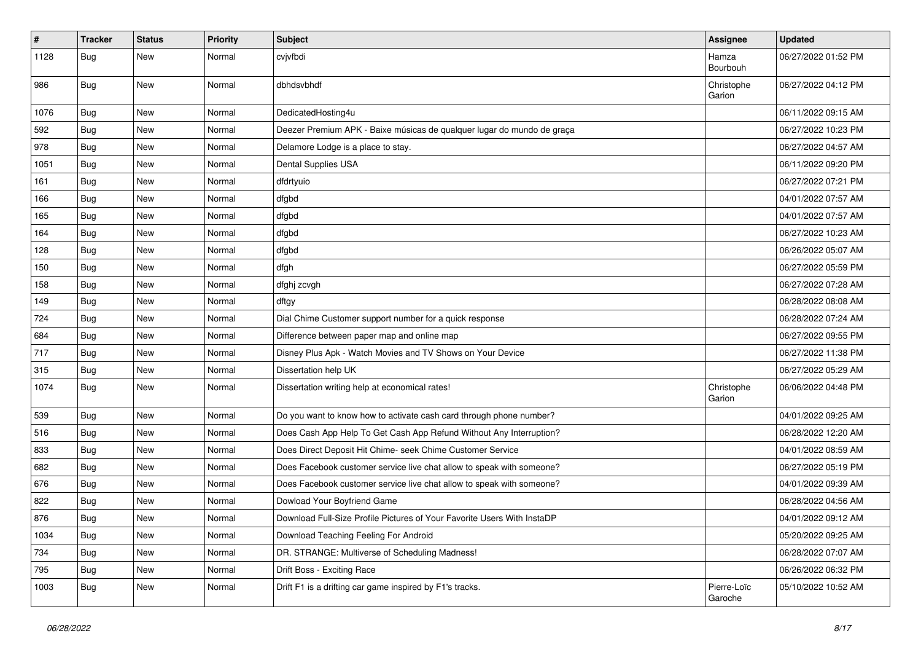| #    | <b>Tracker</b> | <b>Status</b> | <b>Priority</b> | <b>Subject</b>                                                          | Assignee               | <b>Updated</b>      |
|------|----------------|---------------|-----------------|-------------------------------------------------------------------------|------------------------|---------------------|
| 1128 | Bug            | New           | Normal          | cvjvfbdi                                                                | Hamza<br>Bourbouh      | 06/27/2022 01:52 PM |
| 986  | Bug            | New           | Normal          | dbhdsvbhdf                                                              | Christophe<br>Garion   | 06/27/2022 04:12 PM |
| 1076 | Bug            | <b>New</b>    | Normal          | DedicatedHosting4u                                                      |                        | 06/11/2022 09:15 AM |
| 592  | Bug            | New           | Normal          | Deezer Premium APK - Baixe músicas de qualquer lugar do mundo de graça  |                        | 06/27/2022 10:23 PM |
| 978  | <b>Bug</b>     | New           | Normal          | Delamore Lodge is a place to stay.                                      |                        | 06/27/2022 04:57 AM |
| 1051 | Bug            | New           | Normal          | Dental Supplies USA                                                     |                        | 06/11/2022 09:20 PM |
| 161  | Bug            | New           | Normal          | dfdrtyuio                                                               |                        | 06/27/2022 07:21 PM |
| 166  | <b>Bug</b>     | New           | Normal          | dfgbd                                                                   |                        | 04/01/2022 07:57 AM |
| 165  | Bug            | New           | Normal          | dfgbd                                                                   |                        | 04/01/2022 07:57 AM |
| 164  | Bug            | New           | Normal          | dfgbd                                                                   |                        | 06/27/2022 10:23 AM |
| 128  | Bug            | New           | Normal          | dfgbd                                                                   |                        | 06/26/2022 05:07 AM |
| 150  | Bug            | New           | Normal          | dfgh                                                                    |                        | 06/27/2022 05:59 PM |
| 158  | <b>Bug</b>     | New           | Normal          | dfghj zcvgh                                                             |                        | 06/27/2022 07:28 AM |
| 149  | Bug            | New           | Normal          | dftgy                                                                   |                        | 06/28/2022 08:08 AM |
| 724  | Bug            | New           | Normal          | Dial Chime Customer support number for a quick response                 |                        | 06/28/2022 07:24 AM |
| 684  | Bug            | New           | Normal          | Difference between paper map and online map                             |                        | 06/27/2022 09:55 PM |
| 717  | Bug            | New           | Normal          | Disney Plus Apk - Watch Movies and TV Shows on Your Device              |                        | 06/27/2022 11:38 PM |
| 315  | Bug            | <b>New</b>    | Normal          | Dissertation help UK                                                    |                        | 06/27/2022 05:29 AM |
| 1074 | Bug            | New           | Normal          | Dissertation writing help at economical rates!                          | Christophe<br>Garion   | 06/06/2022 04:48 PM |
| 539  | Bug            | New           | Normal          | Do you want to know how to activate cash card through phone number?     |                        | 04/01/2022 09:25 AM |
| 516  | <b>Bug</b>     | New           | Normal          | Does Cash App Help To Get Cash App Refund Without Any Interruption?     |                        | 06/28/2022 12:20 AM |
| 833  | Bug            | New           | Normal          | Does Direct Deposit Hit Chime- seek Chime Customer Service              |                        | 04/01/2022 08:59 AM |
| 682  | Bug            | New           | Normal          | Does Facebook customer service live chat allow to speak with someone?   |                        | 06/27/2022 05:19 PM |
| 676  | Bug            | New           | Normal          | Does Facebook customer service live chat allow to speak with someone?   |                        | 04/01/2022 09:39 AM |
| 822  | <b>Bug</b>     | New           | Normal          | Dowload Your Boyfriend Game                                             |                        | 06/28/2022 04:56 AM |
| 876  | Bug            | New           | Normal          | Download Full-Size Profile Pictures of Your Favorite Users With InstaDP |                        | 04/01/2022 09:12 AM |
| 1034 | Bug            | New           | Normal          | Download Teaching Feeling For Android                                   |                        | 05/20/2022 09:25 AM |
| 734  | Bug            | New           | Normal          | DR. STRANGE: Multiverse of Scheduling Madness!                          |                        | 06/28/2022 07:07 AM |
| 795  | Bug            | New           | Normal          | Drift Boss - Exciting Race                                              |                        | 06/26/2022 06:32 PM |
| 1003 | <b>Bug</b>     | New           | Normal          | Drift F1 is a drifting car game inspired by F1's tracks.                | Pierre-Loïc<br>Garoche | 05/10/2022 10:52 AM |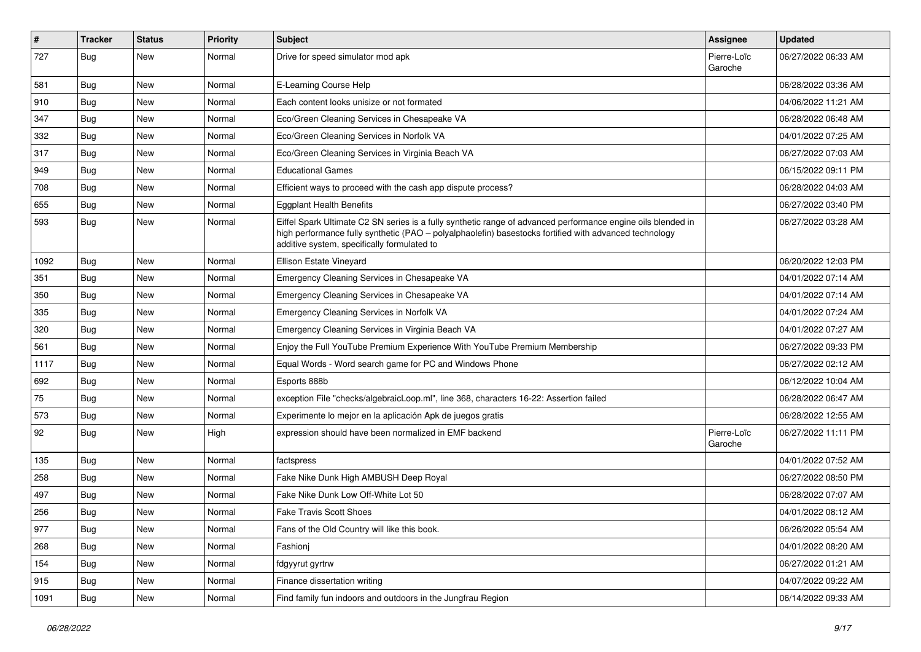| #    | <b>Tracker</b> | <b>Status</b> | <b>Priority</b> | <b>Subject</b>                                                                                                                                                                                                                                                        | Assignee               | <b>Updated</b>      |
|------|----------------|---------------|-----------------|-----------------------------------------------------------------------------------------------------------------------------------------------------------------------------------------------------------------------------------------------------------------------|------------------------|---------------------|
| 727  | Bug            | New           | Normal          | Drive for speed simulator mod apk                                                                                                                                                                                                                                     | Pierre-Loïc<br>Garoche | 06/27/2022 06:33 AM |
| 581  | <b>Bug</b>     | New           | Normal          | E-Learning Course Help                                                                                                                                                                                                                                                |                        | 06/28/2022 03:36 AM |
| 910  | <b>Bug</b>     | New           | Normal          | Each content looks unisize or not formated                                                                                                                                                                                                                            |                        | 04/06/2022 11:21 AM |
| 347  | <b>Bug</b>     | New           | Normal          | Eco/Green Cleaning Services in Chesapeake VA                                                                                                                                                                                                                          |                        | 06/28/2022 06:48 AM |
| 332  | Bug            | New           | Normal          | Eco/Green Cleaning Services in Norfolk VA                                                                                                                                                                                                                             |                        | 04/01/2022 07:25 AM |
| 317  | <b>Bug</b>     | New           | Normal          | Eco/Green Cleaning Services in Virginia Beach VA                                                                                                                                                                                                                      |                        | 06/27/2022 07:03 AM |
| 949  | <b>Bug</b>     | New           | Normal          | <b>Educational Games</b>                                                                                                                                                                                                                                              |                        | 06/15/2022 09:11 PM |
| 708  | Bug            | New           | Normal          | Efficient ways to proceed with the cash app dispute process?                                                                                                                                                                                                          |                        | 06/28/2022 04:03 AM |
| 655  | <b>Bug</b>     | New           | Normal          | <b>Eggplant Health Benefits</b>                                                                                                                                                                                                                                       |                        | 06/27/2022 03:40 PM |
| 593  | Bug            | New           | Normal          | Eiffel Spark Ultimate C2 SN series is a fully synthetic range of advanced performance engine oils blended in<br>high performance fully synthetic (PAO - polyalphaolefin) basestocks fortified with advanced technology<br>additive system, specifically formulated to |                        | 06/27/2022 03:28 AM |
| 1092 | <b>Bug</b>     | New           | Normal          | Ellison Estate Vineyard                                                                                                                                                                                                                                               |                        | 06/20/2022 12:03 PM |
| 351  | <b>Bug</b>     | <b>New</b>    | Normal          | Emergency Cleaning Services in Chesapeake VA                                                                                                                                                                                                                          |                        | 04/01/2022 07:14 AM |
| 350  | <b>Bug</b>     | New           | Normal          | Emergency Cleaning Services in Chesapeake VA                                                                                                                                                                                                                          |                        | 04/01/2022 07:14 AM |
| 335  | Bug            | New           | Normal          | Emergency Cleaning Services in Norfolk VA                                                                                                                                                                                                                             |                        | 04/01/2022 07:24 AM |
| 320  | <b>Bug</b>     | New           | Normal          | Emergency Cleaning Services in Virginia Beach VA                                                                                                                                                                                                                      |                        | 04/01/2022 07:27 AM |
| 561  | <b>Bug</b>     | New           | Normal          | Enjoy the Full YouTube Premium Experience With YouTube Premium Membership                                                                                                                                                                                             |                        | 06/27/2022 09:33 PM |
| 1117 | <b>Bug</b>     | New           | Normal          | Equal Words - Word search game for PC and Windows Phone                                                                                                                                                                                                               |                        | 06/27/2022 02:12 AM |
| 692  | <b>Bug</b>     | New           | Normal          | Esports 888b                                                                                                                                                                                                                                                          |                        | 06/12/2022 10:04 AM |
| 75   | Bug            | New           | Normal          | exception File "checks/algebraicLoop.ml", line 368, characters 16-22: Assertion failed                                                                                                                                                                                |                        | 06/28/2022 06:47 AM |
| 573  | <b>Bug</b>     | New           | Normal          | Experimente lo mejor en la aplicación Apk de juegos gratis                                                                                                                                                                                                            |                        | 06/28/2022 12:55 AM |
| 92   | Bug            | New           | High            | expression should have been normalized in EMF backend                                                                                                                                                                                                                 | Pierre-Loïc<br>Garoche | 06/27/2022 11:11 PM |
| 135  | <b>Bug</b>     | <b>New</b>    | Normal          | factspress                                                                                                                                                                                                                                                            |                        | 04/01/2022 07:52 AM |
| 258  | <b>Bug</b>     | New           | Normal          | Fake Nike Dunk High AMBUSH Deep Royal                                                                                                                                                                                                                                 |                        | 06/27/2022 08:50 PM |
| 497  | Bug            | New           | Normal          | Fake Nike Dunk Low Off-White Lot 50                                                                                                                                                                                                                                   |                        | 06/28/2022 07:07 AM |
| 256  | Bug            | New           | Normal          | <b>Fake Travis Scott Shoes</b>                                                                                                                                                                                                                                        |                        | 04/01/2022 08:12 AM |
| 977  | <b>Bug</b>     | New           | Normal          | Fans of the Old Country will like this book.                                                                                                                                                                                                                          |                        | 06/26/2022 05:54 AM |
| 268  | Bug            | New           | Normal          | Fashionj                                                                                                                                                                                                                                                              |                        | 04/01/2022 08:20 AM |
| 154  | Bug            | New           | Normal          | fdgyyrut gyrtrw                                                                                                                                                                                                                                                       |                        | 06/27/2022 01:21 AM |
| 915  | Bug            | New           | Normal          | Finance dissertation writing                                                                                                                                                                                                                                          |                        | 04/07/2022 09:22 AM |
| 1091 | <b>Bug</b>     | New           | Normal          | Find family fun indoors and outdoors in the Jungfrau Region                                                                                                                                                                                                           |                        | 06/14/2022 09:33 AM |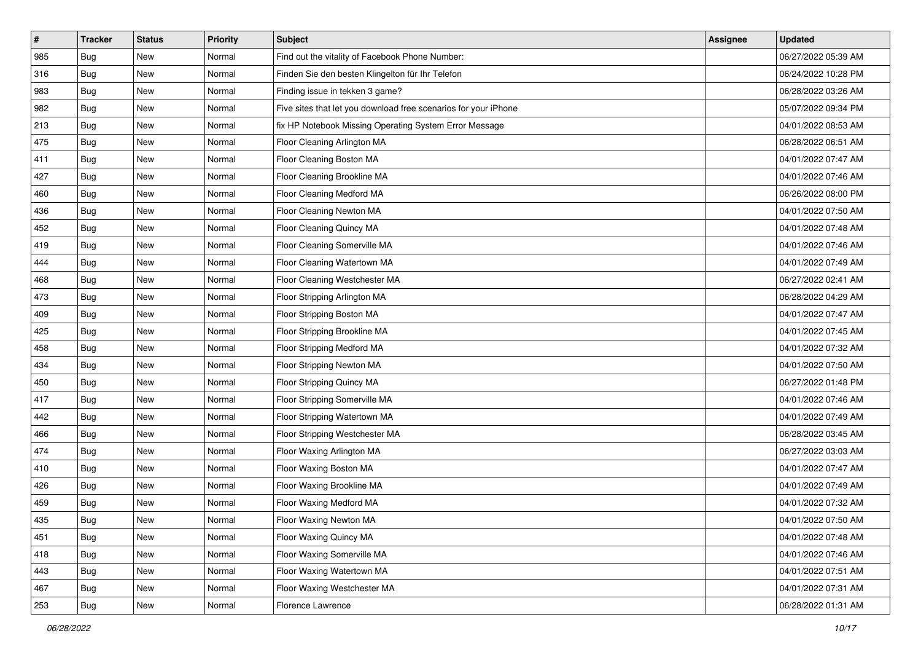| #   | <b>Tracker</b> | <b>Status</b> | <b>Priority</b> | Subject                                                         | Assignee | <b>Updated</b>      |
|-----|----------------|---------------|-----------------|-----------------------------------------------------------------|----------|---------------------|
| 985 | <b>Bug</b>     | New           | Normal          | Find out the vitality of Facebook Phone Number:                 |          | 06/27/2022 05:39 AM |
| 316 | <b>Bug</b>     | New           | Normal          | Finden Sie den besten Klingelton für Ihr Telefon                |          | 06/24/2022 10:28 PM |
| 983 | <b>Bug</b>     | New           | Normal          | Finding issue in tekken 3 game?                                 |          | 06/28/2022 03:26 AM |
| 982 | Bug            | New           | Normal          | Five sites that let you download free scenarios for your iPhone |          | 05/07/2022 09:34 PM |
| 213 | <b>Bug</b>     | New           | Normal          | fix HP Notebook Missing Operating System Error Message          |          | 04/01/2022 08:53 AM |
| 475 | Bug            | New           | Normal          | Floor Cleaning Arlington MA                                     |          | 06/28/2022 06:51 AM |
| 411 | <b>Bug</b>     | New           | Normal          | Floor Cleaning Boston MA                                        |          | 04/01/2022 07:47 AM |
| 427 | <b>Bug</b>     | New           | Normal          | Floor Cleaning Brookline MA                                     |          | 04/01/2022 07:46 AM |
| 460 | Bug            | New           | Normal          | Floor Cleaning Medford MA                                       |          | 06/26/2022 08:00 PM |
| 436 | <b>Bug</b>     | New           | Normal          | Floor Cleaning Newton MA                                        |          | 04/01/2022 07:50 AM |
| 452 | <b>Bug</b>     | New           | Normal          | Floor Cleaning Quincy MA                                        |          | 04/01/2022 07:48 AM |
| 419 | Bug            | New           | Normal          | Floor Cleaning Somerville MA                                    |          | 04/01/2022 07:46 AM |
| 444 | Bug            | New           | Normal          | Floor Cleaning Watertown MA                                     |          | 04/01/2022 07:49 AM |
| 468 | <b>Bug</b>     | New           | Normal          | Floor Cleaning Westchester MA                                   |          | 06/27/2022 02:41 AM |
| 473 | Bug            | New           | Normal          | Floor Stripping Arlington MA                                    |          | 06/28/2022 04:29 AM |
| 409 | <b>Bug</b>     | New           | Normal          | Floor Stripping Boston MA                                       |          | 04/01/2022 07:47 AM |
| 425 | Bug            | New           | Normal          | Floor Stripping Brookline MA                                    |          | 04/01/2022 07:45 AM |
| 458 | Bug            | New           | Normal          | Floor Stripping Medford MA                                      |          | 04/01/2022 07:32 AM |
| 434 | <b>Bug</b>     | New           | Normal          | Floor Stripping Newton MA                                       |          | 04/01/2022 07:50 AM |
| 450 | <b>Bug</b>     | New           | Normal          | Floor Stripping Quincy MA                                       |          | 06/27/2022 01:48 PM |
| 417 | <b>Bug</b>     | New           | Normal          | Floor Stripping Somerville MA                                   |          | 04/01/2022 07:46 AM |
| 442 | Bug            | New           | Normal          | Floor Stripping Watertown MA                                    |          | 04/01/2022 07:49 AM |
| 466 | <b>Bug</b>     | New           | Normal          | Floor Stripping Westchester MA                                  |          | 06/28/2022 03:45 AM |
| 474 | Bug            | New           | Normal          | Floor Waxing Arlington MA                                       |          | 06/27/2022 03:03 AM |
| 410 | Bug            | New           | Normal          | Floor Waxing Boston MA                                          |          | 04/01/2022 07:47 AM |
| 426 | Bug            | New           | Normal          | Floor Waxing Brookline MA                                       |          | 04/01/2022 07:49 AM |
| 459 | <b>Bug</b>     | New           | Normal          | Floor Waxing Medford MA                                         |          | 04/01/2022 07:32 AM |
| 435 | <b>Bug</b>     | New           | Normal          | Floor Waxing Newton MA                                          |          | 04/01/2022 07:50 AM |
| 451 | Bug            | New           | Normal          | Floor Waxing Quincy MA                                          |          | 04/01/2022 07:48 AM |
| 418 | Bug            | New           | Normal          | Floor Waxing Somerville MA                                      |          | 04/01/2022 07:46 AM |
| 443 | Bug            | New           | Normal          | Floor Waxing Watertown MA                                       |          | 04/01/2022 07:51 AM |
| 467 | Bug            | New           | Normal          | Floor Waxing Westchester MA                                     |          | 04/01/2022 07:31 AM |
| 253 | <b>Bug</b>     | New           | Normal          | Florence Lawrence                                               |          | 06/28/2022 01:31 AM |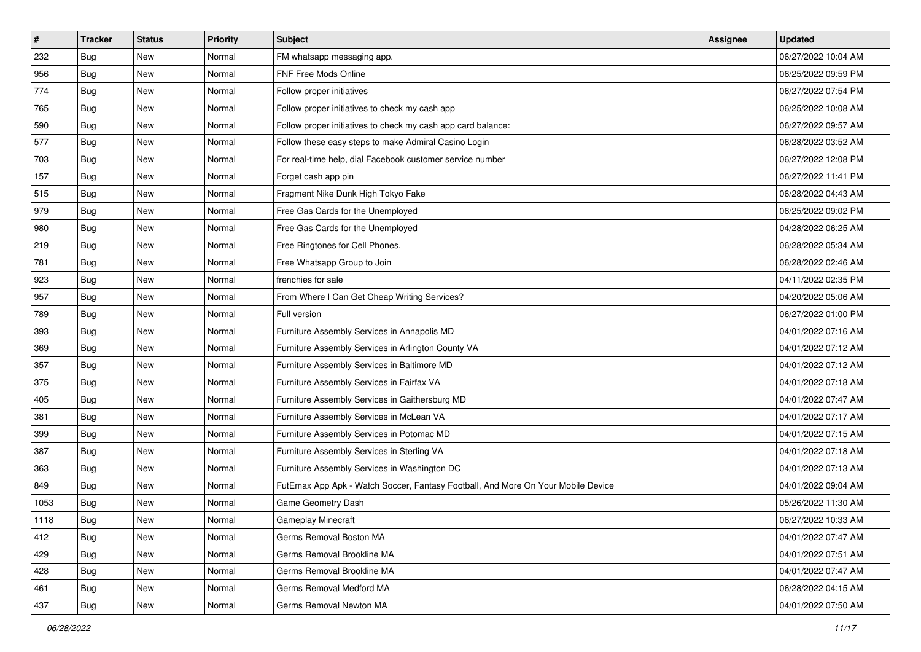| $\sharp$ | <b>Tracker</b> | <b>Status</b> | <b>Priority</b> | <b>Subject</b>                                                                   | Assignee | <b>Updated</b>      |
|----------|----------------|---------------|-----------------|----------------------------------------------------------------------------------|----------|---------------------|
| 232      | <b>Bug</b>     | New           | Normal          | FM whatsapp messaging app.                                                       |          | 06/27/2022 10:04 AM |
| 956      | <b>Bug</b>     | <b>New</b>    | Normal          | FNF Free Mods Online                                                             |          | 06/25/2022 09:59 PM |
| 774      | <b>Bug</b>     | New           | Normal          | Follow proper initiatives                                                        |          | 06/27/2022 07:54 PM |
| 765      | Bug            | New           | Normal          | Follow proper initiatives to check my cash app                                   |          | 06/25/2022 10:08 AM |
| 590      | <b>Bug</b>     | New           | Normal          | Follow proper initiatives to check my cash app card balance:                     |          | 06/27/2022 09:57 AM |
| 577      | Bug            | New           | Normal          | Follow these easy steps to make Admiral Casino Login                             |          | 06/28/2022 03:52 AM |
| 703      | <b>Bug</b>     | New           | Normal          | For real-time help, dial Facebook customer service number                        |          | 06/27/2022 12:08 PM |
| 157      | Bug            | New           | Normal          | Forget cash app pin                                                              |          | 06/27/2022 11:41 PM |
| 515      | Bug            | New           | Normal          | Fragment Nike Dunk High Tokyo Fake                                               |          | 06/28/2022 04:43 AM |
| 979      | Bug            | New           | Normal          | Free Gas Cards for the Unemployed                                                |          | 06/25/2022 09:02 PM |
| 980      | <b>Bug</b>     | New           | Normal          | Free Gas Cards for the Unemployed                                                |          | 04/28/2022 06:25 AM |
| 219      | Bug            | New           | Normal          | Free Ringtones for Cell Phones.                                                  |          | 06/28/2022 05:34 AM |
| 781      | Bug            | New           | Normal          | Free Whatsapp Group to Join                                                      |          | 06/28/2022 02:46 AM |
| 923      | Bug            | New           | Normal          | frenchies for sale                                                               |          | 04/11/2022 02:35 PM |
| 957      | Bug            | New           | Normal          | From Where I Can Get Cheap Writing Services?                                     |          | 04/20/2022 05:06 AM |
| 789      | Bug            | New           | Normal          | Full version                                                                     |          | 06/27/2022 01:00 PM |
| 393      | Bug            | New           | Normal          | Furniture Assembly Services in Annapolis MD                                      |          | 04/01/2022 07:16 AM |
| 369      | Bug            | New           | Normal          | Furniture Assembly Services in Arlington County VA                               |          | 04/01/2022 07:12 AM |
| 357      | Bug            | New           | Normal          | Furniture Assembly Services in Baltimore MD                                      |          | 04/01/2022 07:12 AM |
| 375      | Bug            | <b>New</b>    | Normal          | Furniture Assembly Services in Fairfax VA                                        |          | 04/01/2022 07:18 AM |
| 405      | Bug            | New           | Normal          | Furniture Assembly Services in Gaithersburg MD                                   |          | 04/01/2022 07:47 AM |
| 381      | Bug            | New           | Normal          | Furniture Assembly Services in McLean VA                                         |          | 04/01/2022 07:17 AM |
| 399      | <b>Bug</b>     | New           | Normal          | Furniture Assembly Services in Potomac MD                                        |          | 04/01/2022 07:15 AM |
| 387      | Bug            | New           | Normal          | Furniture Assembly Services in Sterling VA                                       |          | 04/01/2022 07:18 AM |
| 363      | Bug            | New           | Normal          | Furniture Assembly Services in Washington DC                                     |          | 04/01/2022 07:13 AM |
| 849      | Bug            | New           | Normal          | FutEmax App Apk - Watch Soccer, Fantasy Football, And More On Your Mobile Device |          | 04/01/2022 09:04 AM |
| 1053     | <b>Bug</b>     | New           | Normal          | Game Geometry Dash                                                               |          | 05/26/2022 11:30 AM |
| 1118     | <b>Bug</b>     | New           | Normal          | Gameplay Minecraft                                                               |          | 06/27/2022 10:33 AM |
| 412      | Bug            | New           | Normal          | Germs Removal Boston MA                                                          |          | 04/01/2022 07:47 AM |
| 429      | Bug            | New           | Normal          | Germs Removal Brookline MA                                                       |          | 04/01/2022 07:51 AM |
| 428      | Bug            | New           | Normal          | Germs Removal Brookline MA                                                       |          | 04/01/2022 07:47 AM |
| 461      | Bug            | New           | Normal          | Germs Removal Medford MA                                                         |          | 06/28/2022 04:15 AM |
| 437      | <b>Bug</b>     | New           | Normal          | Germs Removal Newton MA                                                          |          | 04/01/2022 07:50 AM |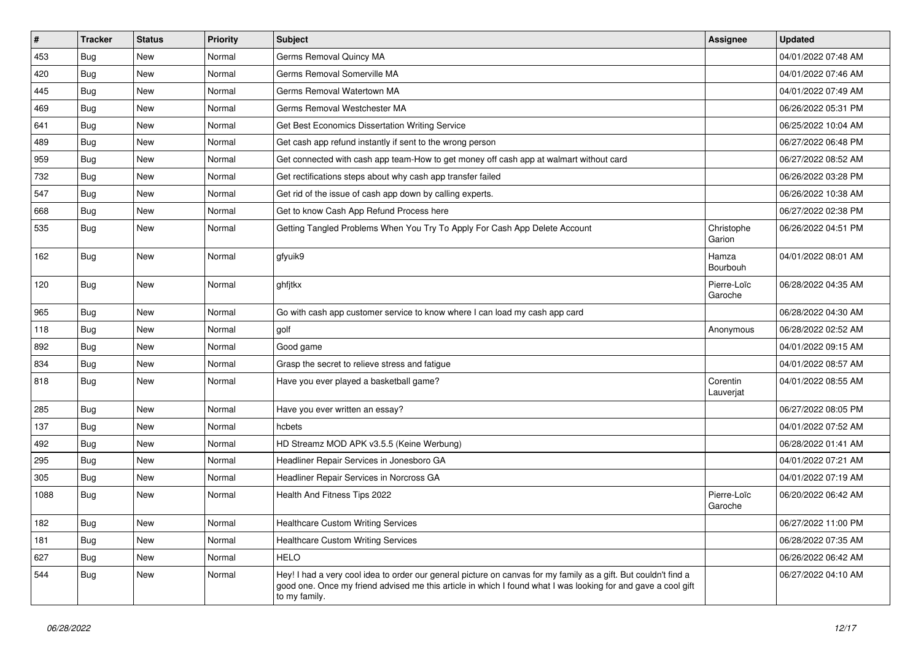| $\pmb{\#}$ | <b>Tracker</b> | <b>Status</b> | <b>Priority</b> | Subject                                                                                                                                                                                                                                           | Assignee               | <b>Updated</b>      |
|------------|----------------|---------------|-----------------|---------------------------------------------------------------------------------------------------------------------------------------------------------------------------------------------------------------------------------------------------|------------------------|---------------------|
| 453        | Bug            | New           | Normal          | Germs Removal Quincy MA                                                                                                                                                                                                                           |                        | 04/01/2022 07:48 AM |
| 420        | Bug            | New           | Normal          | Germs Removal Somerville MA                                                                                                                                                                                                                       |                        | 04/01/2022 07:46 AM |
| 445        | <b>Bug</b>     | New           | Normal          | Germs Removal Watertown MA                                                                                                                                                                                                                        |                        | 04/01/2022 07:49 AM |
| 469        | <b>Bug</b>     | New           | Normal          | Germs Removal Westchester MA                                                                                                                                                                                                                      |                        | 06/26/2022 05:31 PM |
| 641        | Bug            | New           | Normal          | Get Best Economics Dissertation Writing Service                                                                                                                                                                                                   |                        | 06/25/2022 10:04 AM |
| 489        | <b>Bug</b>     | New           | Normal          | Get cash app refund instantly if sent to the wrong person                                                                                                                                                                                         |                        | 06/27/2022 06:48 PM |
| 959        | Bug            | New           | Normal          | Get connected with cash app team-How to get money off cash app at walmart without card                                                                                                                                                            |                        | 06/27/2022 08:52 AM |
| 732        | <b>Bug</b>     | New           | Normal          | Get rectifications steps about why cash app transfer failed                                                                                                                                                                                       |                        | 06/26/2022 03:28 PM |
| 547        | <b>Bug</b>     | New           | Normal          | Get rid of the issue of cash app down by calling experts.                                                                                                                                                                                         |                        | 06/26/2022 10:38 AM |
| 668        | Bug            | New           | Normal          | Get to know Cash App Refund Process here                                                                                                                                                                                                          |                        | 06/27/2022 02:38 PM |
| 535        | <b>Bug</b>     | New           | Normal          | Getting Tangled Problems When You Try To Apply For Cash App Delete Account                                                                                                                                                                        | Christophe<br>Garion   | 06/26/2022 04:51 PM |
| 162        | <b>Bug</b>     | New           | Normal          | gfyuik9                                                                                                                                                                                                                                           | Hamza<br>Bourbouh      | 04/01/2022 08:01 AM |
| 120        | <b>Bug</b>     | New           | Normal          | ghfjtkx                                                                                                                                                                                                                                           | Pierre-Loïc<br>Garoche | 06/28/2022 04:35 AM |
| 965        | <b>Bug</b>     | New           | Normal          | Go with cash app customer service to know where I can load my cash app card                                                                                                                                                                       |                        | 06/28/2022 04:30 AM |
| 118        | Bug            | New           | Normal          | golf                                                                                                                                                                                                                                              | Anonymous              | 06/28/2022 02:52 AM |
| 892        | <b>Bug</b>     | New           | Normal          | Good game                                                                                                                                                                                                                                         |                        | 04/01/2022 09:15 AM |
| 834        | <b>Bug</b>     | New           | Normal          | Grasp the secret to relieve stress and fatigue                                                                                                                                                                                                    |                        | 04/01/2022 08:57 AM |
| 818        | Bug            | New           | Normal          | Have you ever played a basketball game?                                                                                                                                                                                                           | Corentin<br>Lauverjat  | 04/01/2022 08:55 AM |
| 285        | Bug            | <b>New</b>    | Normal          | Have you ever written an essay?                                                                                                                                                                                                                   |                        | 06/27/2022 08:05 PM |
| 137        | <b>Bug</b>     | New           | Normal          | hcbets                                                                                                                                                                                                                                            |                        | 04/01/2022 07:52 AM |
| 492        | <b>Bug</b>     | New           | Normal          | HD Streamz MOD APK v3.5.5 (Keine Werbung)                                                                                                                                                                                                         |                        | 06/28/2022 01:41 AM |
| 295        | Bug            | New           | Normal          | Headliner Repair Services in Jonesboro GA                                                                                                                                                                                                         |                        | 04/01/2022 07:21 AM |
| 305        | <b>Bug</b>     | New           | Normal          | Headliner Repair Services in Norcross GA                                                                                                                                                                                                          |                        | 04/01/2022 07:19 AM |
| 1088       | <b>Bug</b>     | New           | Normal          | Health And Fitness Tips 2022                                                                                                                                                                                                                      | Pierre-Loïc<br>Garoche | 06/20/2022 06:42 AM |
| 182        | <b>Bug</b>     | New           | Normal          | <b>Healthcare Custom Writing Services</b>                                                                                                                                                                                                         |                        | 06/27/2022 11:00 PM |
| 181        | Bug            | New           | Normal          | <b>Healthcare Custom Writing Services</b>                                                                                                                                                                                                         |                        | 06/28/2022 07:35 AM |
| 627        | Bug            | New           | Normal          | <b>HELO</b>                                                                                                                                                                                                                                       |                        | 06/26/2022 06:42 AM |
| 544        | Bug            | New           | Normal          | Hey! I had a very cool idea to order our general picture on canvas for my family as a gift. But couldn't find a<br>good one. Once my friend advised me this article in which I found what I was looking for and gave a cool gift<br>to my family. |                        | 06/27/2022 04:10 AM |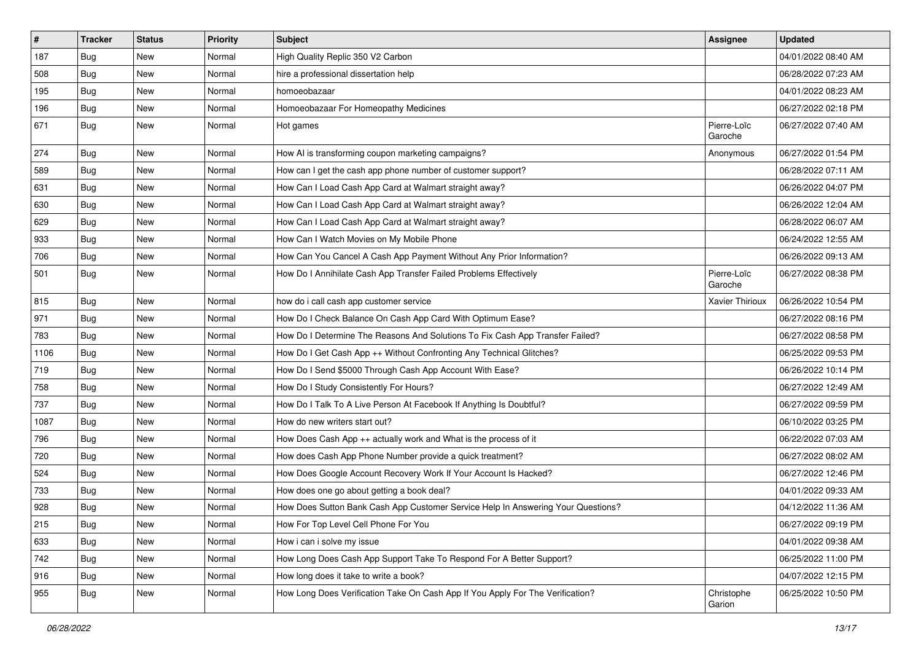| $\pmb{\#}$ | <b>Tracker</b> | <b>Status</b> | <b>Priority</b> | Subject                                                                          | <b>Assignee</b>        | <b>Updated</b>      |
|------------|----------------|---------------|-----------------|----------------------------------------------------------------------------------|------------------------|---------------------|
| 187        | Bug            | New           | Normal          | High Quality Replic 350 V2 Carbon                                                |                        | 04/01/2022 08:40 AM |
| 508        | Bug            | New           | Normal          | hire a professional dissertation help                                            |                        | 06/28/2022 07:23 AM |
| 195        | <b>Bug</b>     | New           | Normal          | homoeobazaar                                                                     |                        | 04/01/2022 08:23 AM |
| 196        | <b>Bug</b>     | New           | Normal          | Homoeobazaar For Homeopathy Medicines                                            |                        | 06/27/2022 02:18 PM |
| 671        | <b>Bug</b>     | New           | Normal          | Hot games                                                                        | Pierre-Loïc<br>Garoche | 06/27/2022 07:40 AM |
| 274        | Bug            | <b>New</b>    | Normal          | How AI is transforming coupon marketing campaigns?                               | Anonymous              | 06/27/2022 01:54 PM |
| 589        | <b>Bug</b>     | New           | Normal          | How can I get the cash app phone number of customer support?                     |                        | 06/28/2022 07:11 AM |
| 631        | <b>Bug</b>     | New           | Normal          | How Can I Load Cash App Card at Walmart straight away?                           |                        | 06/26/2022 04:07 PM |
| 630        | <b>Bug</b>     | New           | Normal          | How Can I Load Cash App Card at Walmart straight away?                           |                        | 06/26/2022 12:04 AM |
| 629        | Bug            | New           | Normal          | How Can I Load Cash App Card at Walmart straight away?                           |                        | 06/28/2022 06:07 AM |
| 933        | Bug            | New           | Normal          | How Can I Watch Movies on My Mobile Phone                                        |                        | 06/24/2022 12:55 AM |
| 706        | Bug            | New           | Normal          | How Can You Cancel A Cash App Payment Without Any Prior Information?             |                        | 06/26/2022 09:13 AM |
| 501        | Bug            | New           | Normal          | How Do I Annihilate Cash App Transfer Failed Problems Effectively                | Pierre-Loïc<br>Garoche | 06/27/2022 08:38 PM |
| 815        | Bug            | New           | Normal          | how do i call cash app customer service                                          | Xavier Thirioux        | 06/26/2022 10:54 PM |
| 971        | Bug            | New           | Normal          | How Do I Check Balance On Cash App Card With Optimum Ease?                       |                        | 06/27/2022 08:16 PM |
| 783        | Bug            | New           | Normal          | How Do I Determine The Reasons And Solutions To Fix Cash App Transfer Failed?    |                        | 06/27/2022 08:58 PM |
| 1106       | <b>Bug</b>     | New           | Normal          | How Do I Get Cash App ++ Without Confronting Any Technical Glitches?             |                        | 06/25/2022 09:53 PM |
| 719        | Bug            | New           | Normal          | How Do I Send \$5000 Through Cash App Account With Ease?                         |                        | 06/26/2022 10:14 PM |
| 758        | <b>Bug</b>     | New           | Normal          | How Do I Study Consistently For Hours?                                           |                        | 06/27/2022 12:49 AM |
| 737        | <b>Bug</b>     | New           | Normal          | How Do I Talk To A Live Person At Facebook If Anything Is Doubtful?              |                        | 06/27/2022 09:59 PM |
| 1087       | Bug            | New           | Normal          | How do new writers start out?                                                    |                        | 06/10/2022 03:25 PM |
| 796        | <b>Bug</b>     | New           | Normal          | How Does Cash App ++ actually work and What is the process of it                 |                        | 06/22/2022 07:03 AM |
| 720        | <b>Bug</b>     | New           | Normal          | How does Cash App Phone Number provide a quick treatment?                        |                        | 06/27/2022 08:02 AM |
| 524        | <b>Bug</b>     | New           | Normal          | How Does Google Account Recovery Work If Your Account Is Hacked?                 |                        | 06/27/2022 12:46 PM |
| 733        | <b>Bug</b>     | New           | Normal          | How does one go about getting a book deal?                                       |                        | 04/01/2022 09:33 AM |
| 928        | Bug            | New           | Normal          | How Does Sutton Bank Cash App Customer Service Help In Answering Your Questions? |                        | 04/12/2022 11:36 AM |
| 215        | <b>Bug</b>     | New           | Normal          | How For Top Level Cell Phone For You                                             |                        | 06/27/2022 09:19 PM |
| 633        | Bug            | New           | Normal          | How i can i solve my issue                                                       |                        | 04/01/2022 09:38 AM |
| 742        | Bug            | New           | Normal          | How Long Does Cash App Support Take To Respond For A Better Support?             |                        | 06/25/2022 11:00 PM |
| 916        | <b>Bug</b>     | New           | Normal          | How long does it take to write a book?                                           |                        | 04/07/2022 12:15 PM |
| 955        | Bug            | New           | Normal          | How Long Does Verification Take On Cash App If You Apply For The Verification?   | Christophe<br>Garion   | 06/25/2022 10:50 PM |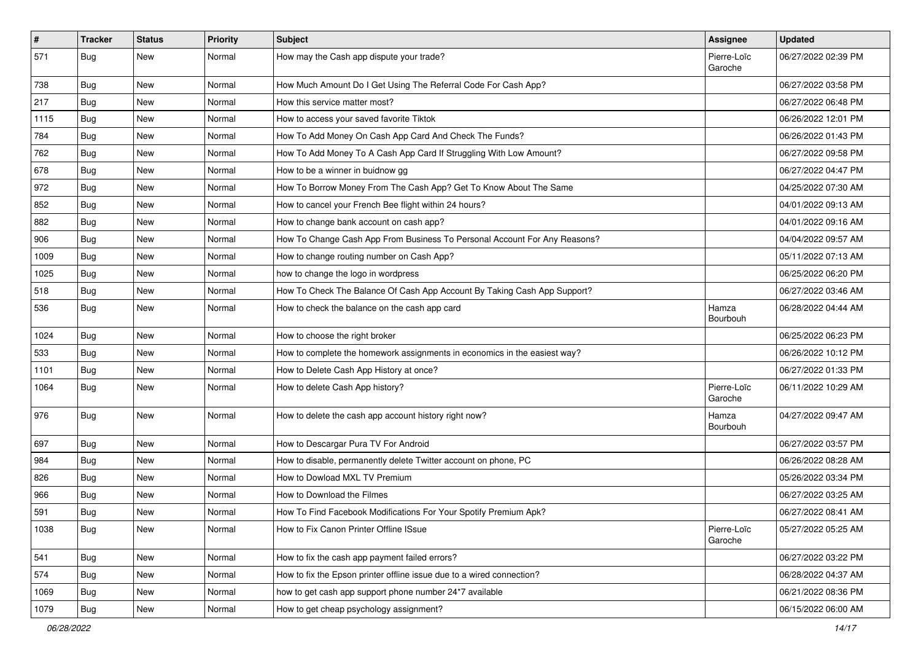| $\vert$ # | <b>Tracker</b> | <b>Status</b> | <b>Priority</b> | <b>Subject</b>                                                            | <b>Assignee</b>        | <b>Updated</b>      |
|-----------|----------------|---------------|-----------------|---------------------------------------------------------------------------|------------------------|---------------------|
| 571       | <b>Bug</b>     | New           | Normal          | How may the Cash app dispute your trade?                                  | Pierre-Loïc<br>Garoche | 06/27/2022 02:39 PM |
| 738       | <b>Bug</b>     | New           | Normal          | How Much Amount Do I Get Using The Referral Code For Cash App?            |                        | 06/27/2022 03:58 PM |
| 217       | Bug            | New           | Normal          | How this service matter most?                                             |                        | 06/27/2022 06:48 PM |
| 1115      | Bug            | <b>New</b>    | Normal          | How to access your saved favorite Tiktok                                  |                        | 06/26/2022 12:01 PM |
| 784       | <b>Bug</b>     | New           | Normal          | How To Add Money On Cash App Card And Check The Funds?                    |                        | 06/26/2022 01:43 PM |
| 762       | Bug            | New           | Normal          | How To Add Money To A Cash App Card If Struggling With Low Amount?        |                        | 06/27/2022 09:58 PM |
| 678       | <b>Bug</b>     | New           | Normal          | How to be a winner in buidnow gg                                          |                        | 06/27/2022 04:47 PM |
| 972       | Bug            | New           | Normal          | How To Borrow Money From The Cash App? Get To Know About The Same         |                        | 04/25/2022 07:30 AM |
| 852       | Bug            | New           | Normal          | How to cancel your French Bee flight within 24 hours?                     |                        | 04/01/2022 09:13 AM |
| 882       | <b>Bug</b>     | New           | Normal          | How to change bank account on cash app?                                   |                        | 04/01/2022 09:16 AM |
| 906       | <b>Bug</b>     | New           | Normal          | How To Change Cash App From Business To Personal Account For Any Reasons? |                        | 04/04/2022 09:57 AM |
| 1009      | Bug            | New           | Normal          | How to change routing number on Cash App?                                 |                        | 05/11/2022 07:13 AM |
| 1025      | <b>Bug</b>     | New           | Normal          | how to change the logo in wordpress                                       |                        | 06/25/2022 06:20 PM |
| 518       | <b>Bug</b>     | New           | Normal          | How To Check The Balance Of Cash App Account By Taking Cash App Support?  |                        | 06/27/2022 03:46 AM |
| 536       | Bug            | New           | Normal          | How to check the balance on the cash app card                             | Hamza<br>Bourbouh      | 06/28/2022 04:44 AM |
| 1024      | Bug            | <b>New</b>    | Normal          | How to choose the right broker                                            |                        | 06/25/2022 06:23 PM |
| 533       | <b>Bug</b>     | New           | Normal          | How to complete the homework assignments in economics in the easiest way? |                        | 06/26/2022 10:12 PM |
| 1101      | <b>Bug</b>     | <b>New</b>    | Normal          | How to Delete Cash App History at once?                                   |                        | 06/27/2022 01:33 PM |
| 1064      | Bug            | New           | Normal          | How to delete Cash App history?                                           | Pierre-Loïc<br>Garoche | 06/11/2022 10:29 AM |
| 976       | Bug            | New           | Normal          | How to delete the cash app account history right now?                     | Hamza<br>Bourbouh      | 04/27/2022 09:47 AM |
| 697       | <b>Bug</b>     | New           | Normal          | How to Descargar Pura TV For Android                                      |                        | 06/27/2022 03:57 PM |
| 984       | <b>Bug</b>     | <b>New</b>    | Normal          | How to disable, permanently delete Twitter account on phone, PC           |                        | 06/26/2022 08:28 AM |
| 826       | Bug            | New           | Normal          | How to Dowload MXL TV Premium                                             |                        | 05/26/2022 03:34 PM |
| 966       | <b>Bug</b>     | New           | Normal          | How to Download the Filmes                                                |                        | 06/27/2022 03:25 AM |
| 591       | <b>Bug</b>     | New           | Normal          | How To Find Facebook Modifications For Your Spotify Premium Apk?          |                        | 06/27/2022 08:41 AM |
| 1038      | <b>Bug</b>     | New           | Normal          | How to Fix Canon Printer Offline ISsue                                    | Pierre-Loïc<br>Garoche | 05/27/2022 05:25 AM |
| 541       | <b>Bug</b>     | New           | Normal          | How to fix the cash app payment failed errors?                            |                        | 06/27/2022 03:22 PM |
| 574       | Bug            | New           | Normal          | How to fix the Epson printer offline issue due to a wired connection?     |                        | 06/28/2022 04:37 AM |
| 1069      | Bug            | New           | Normal          | how to get cash app support phone number 24*7 available                   |                        | 06/21/2022 08:36 PM |
| 1079      | <b>Bug</b>     | New           | Normal          | How to get cheap psychology assignment?                                   |                        | 06/15/2022 06:00 AM |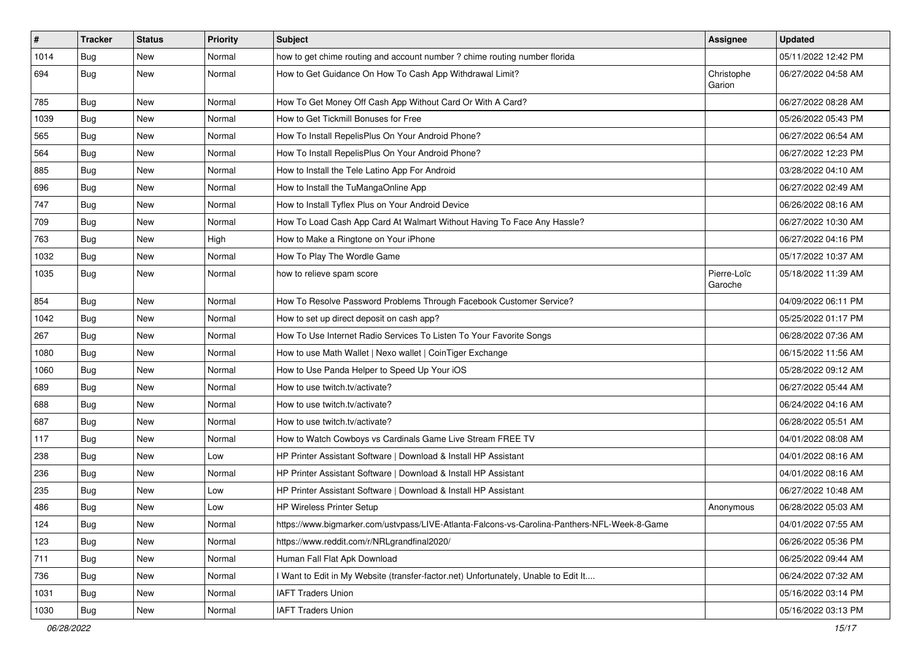| $\vert$ # | <b>Tracker</b> | <b>Status</b> | <b>Priority</b> | Subject                                                                                      | Assignee               | <b>Updated</b>      |
|-----------|----------------|---------------|-----------------|----------------------------------------------------------------------------------------------|------------------------|---------------------|
| 1014      | <b>Bug</b>     | New           | Normal          | how to get chime routing and account number ? chime routing number florida                   |                        | 05/11/2022 12:42 PM |
| 694       | Bug            | New           | Normal          | How to Get Guidance On How To Cash App Withdrawal Limit?                                     | Christophe<br>Garion   | 06/27/2022 04:58 AM |
| 785       | <b>Bug</b>     | <b>New</b>    | Normal          | How To Get Money Off Cash App Without Card Or With A Card?                                   |                        | 06/27/2022 08:28 AM |
| 1039      | Bug            | New           | Normal          | How to Get Tickmill Bonuses for Free                                                         |                        | 05/26/2022 05:43 PM |
| 565       | Bug            | <b>New</b>    | Normal          | How To Install RepelisPlus On Your Android Phone?                                            |                        | 06/27/2022 06:54 AM |
| 564       | Bug            | New           | Normal          | How To Install RepelisPlus On Your Android Phone?                                            |                        | 06/27/2022 12:23 PM |
| 885       | <b>Bug</b>     | <b>New</b>    | Normal          | How to Install the Tele Latino App For Android                                               |                        | 03/28/2022 04:10 AM |
| 696       | Bug            | New           | Normal          | How to Install the TuMangaOnline App                                                         |                        | 06/27/2022 02:49 AM |
| 747       | Bug            | <b>New</b>    | Normal          | How to Install Tyflex Plus on Your Android Device                                            |                        | 06/26/2022 08:16 AM |
| 709       | <b>Bug</b>     | New           | Normal          | How To Load Cash App Card At Walmart Without Having To Face Any Hassle?                      |                        | 06/27/2022 10:30 AM |
| 763       | Bug            | New           | High            | How to Make a Ringtone on Your iPhone                                                        |                        | 06/27/2022 04:16 PM |
| 1032      | Bug            | <b>New</b>    | Normal          | How To Play The Wordle Game                                                                  |                        | 05/17/2022 10:37 AM |
| 1035      | Bug            | New           | Normal          | how to relieve spam score                                                                    | Pierre-Loïc<br>Garoche | 05/18/2022 11:39 AM |
| 854       | Bug            | <b>New</b>    | Normal          | How To Resolve Password Problems Through Facebook Customer Service?                          |                        | 04/09/2022 06:11 PM |
| 1042      | <b>Bug</b>     | New           | Normal          | How to set up direct deposit on cash app?                                                    |                        | 05/25/2022 01:17 PM |
| 267       | Bug            | New           | Normal          | How To Use Internet Radio Services To Listen To Your Favorite Songs                          |                        | 06/28/2022 07:36 AM |
| 1080      | Bug            | New           | Normal          | How to use Math Wallet   Nexo wallet   CoinTiger Exchange                                    |                        | 06/15/2022 11:56 AM |
| 1060      | Bug            | New           | Normal          | How to Use Panda Helper to Speed Up Your iOS                                                 |                        | 05/28/2022 09:12 AM |
| 689       | Bug            | <b>New</b>    | Normal          | How to use twitch.tv/activate?                                                               |                        | 06/27/2022 05:44 AM |
| 688       | <b>Bug</b>     | New           | Normal          | How to use twitch.tv/activate?                                                               |                        | 06/24/2022 04:16 AM |
| 687       | <b>Bug</b>     | <b>New</b>    | Normal          | How to use twitch.tv/activate?                                                               |                        | 06/28/2022 05:51 AM |
| 117       | Bug            | New           | Normal          | How to Watch Cowboys vs Cardinals Game Live Stream FREE TV                                   |                        | 04/01/2022 08:08 AM |
| 238       | <b>Bug</b>     | <b>New</b>    | Low             | HP Printer Assistant Software   Download & Install HP Assistant                              |                        | 04/01/2022 08:16 AM |
| 236       | <b>Bug</b>     | New           | Normal          | HP Printer Assistant Software   Download & Install HP Assistant                              |                        | 04/01/2022 08:16 AM |
| 235       | Bug            | New           | Low             | HP Printer Assistant Software   Download & Install HP Assistant                              |                        | 06/27/2022 10:48 AM |
| 486       | Bug            | New           | Low             | HP Wireless Printer Setup                                                                    | Anonymous              | 06/28/2022 05:03 AM |
| 124       | Bug            | New           | Normal          | https://www.bigmarker.com/ustvpass/LIVE-Atlanta-Falcons-vs-Carolina-Panthers-NFL-Week-8-Game |                        | 04/01/2022 07:55 AM |
| 123       | Bug            | New           | Normal          | https://www.reddit.com/r/NRLgrandfinal2020/                                                  |                        | 06/26/2022 05:36 PM |
| 711       | Bug            | New           | Normal          | Human Fall Flat Apk Download                                                                 |                        | 06/25/2022 09:44 AM |
| 736       | Bug            | New           | Normal          | I Want to Edit in My Website (transfer-factor.net) Unfortunately, Unable to Edit It          |                        | 06/24/2022 07:32 AM |
| 1031      | Bug            | New           | Normal          | <b>IAFT Traders Union</b>                                                                    |                        | 05/16/2022 03:14 PM |
| 1030      | <b>Bug</b>     | New           | Normal          | <b>IAFT Traders Union</b>                                                                    |                        | 05/16/2022 03:13 PM |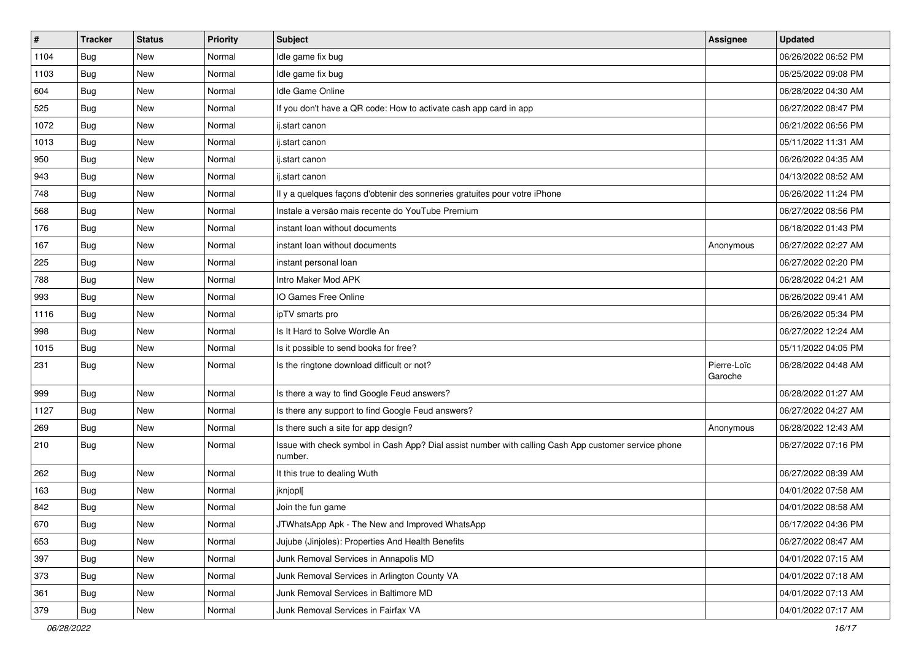| $\vert$ # | <b>Tracker</b> | <b>Status</b> | <b>Priority</b> | <b>Subject</b>                                                                                                  | Assignee               | <b>Updated</b>      |
|-----------|----------------|---------------|-----------------|-----------------------------------------------------------------------------------------------------------------|------------------------|---------------------|
| 1104      | <b>Bug</b>     | New           | Normal          | Idle game fix bug                                                                                               |                        | 06/26/2022 06:52 PM |
| 1103      | Bug            | <b>New</b>    | Normal          | Idle game fix bug                                                                                               |                        | 06/25/2022 09:08 PM |
| 604       | <b>Bug</b>     | New           | Normal          | Idle Game Online                                                                                                |                        | 06/28/2022 04:30 AM |
| 525       | Bug            | <b>New</b>    | Normal          | If you don't have a QR code: How to activate cash app card in app                                               |                        | 06/27/2022 08:47 PM |
| 1072      | Bug            | <b>New</b>    | Normal          | ij.start canon                                                                                                  |                        | 06/21/2022 06:56 PM |
| 1013      | <b>Bug</b>     | New           | Normal          | ij.start canon                                                                                                  |                        | 05/11/2022 11:31 AM |
| 950       | <b>Bug</b>     | <b>New</b>    | Normal          | ij.start canon                                                                                                  |                        | 06/26/2022 04:35 AM |
| 943       | <b>Bug</b>     | New           | Normal          | ij.start canon                                                                                                  |                        | 04/13/2022 08:52 AM |
| 748       | <b>Bug</b>     | <b>New</b>    | Normal          | Il y a quelques façons d'obtenir des sonneries gratuites pour votre iPhone                                      |                        | 06/26/2022 11:24 PM |
| 568       | <b>Bug</b>     | <b>New</b>    | Normal          | Instale a versão mais recente do YouTube Premium                                                                |                        | 06/27/2022 08:56 PM |
| 176       | Bug            | New           | Normal          | instant loan without documents                                                                                  |                        | 06/18/2022 01:43 PM |
| 167       | <b>Bug</b>     | New           | Normal          | instant loan without documents                                                                                  | Anonymous              | 06/27/2022 02:27 AM |
| 225       | <b>Bug</b>     | <b>New</b>    | Normal          | instant personal loan                                                                                           |                        | 06/27/2022 02:20 PM |
| 788       | Bug            | <b>New</b>    | Normal          | Intro Maker Mod APK                                                                                             |                        | 06/28/2022 04:21 AM |
| 993       | <b>Bug</b>     | <b>New</b>    | Normal          | IO Games Free Online                                                                                            |                        | 06/26/2022 09:41 AM |
| 1116      | <b>Bug</b>     | New           | Normal          | ipTV smarts pro                                                                                                 |                        | 06/26/2022 05:34 PM |
| 998       | Bug            | <b>New</b>    | Normal          | Is It Hard to Solve Wordle An                                                                                   |                        | 06/27/2022 12:24 AM |
| 1015      | Bug            | <b>New</b>    | Normal          | Is it possible to send books for free?                                                                          |                        | 05/11/2022 04:05 PM |
| 231       | Bug            | New           | Normal          | Is the ringtone download difficult or not?                                                                      | Pierre-Loïc<br>Garoche | 06/28/2022 04:48 AM |
| 999       | <b>Bug</b>     | <b>New</b>    | Normal          | Is there a way to find Google Feud answers?                                                                     |                        | 06/28/2022 01:27 AM |
| 1127      | Bug            | <b>New</b>    | Normal          | Is there any support to find Google Feud answers?                                                               |                        | 06/27/2022 04:27 AM |
| 269       | <b>Bug</b>     | <b>New</b>    | Normal          | Is there such a site for app design?                                                                            | Anonymous              | 06/28/2022 12:43 AM |
| 210       | Bug            | New           | Normal          | Issue with check symbol in Cash App? Dial assist number with calling Cash App customer service phone<br>number. |                        | 06/27/2022 07:16 PM |
| 262       | Bug            | <b>New</b>    | Normal          | It this true to dealing Wuth                                                                                    |                        | 06/27/2022 08:39 AM |
| 163       | Bug            | New           | Normal          | jknjoplj                                                                                                        |                        | 04/01/2022 07:58 AM |
| 842       | Bug            | New           | Normal          | Join the fun game                                                                                               |                        | 04/01/2022 08:58 AM |
| 670       | Bug            | New           | Normal          | JTWhatsApp Apk - The New and Improved WhatsApp                                                                  |                        | 06/17/2022 04:36 PM |
| 653       | <b>Bug</b>     | New           | Normal          | Jujube (Jinjoles): Properties And Health Benefits                                                               |                        | 06/27/2022 08:47 AM |
| 397       | Bug            | <b>New</b>    | Normal          | Junk Removal Services in Annapolis MD                                                                           |                        | 04/01/2022 07:15 AM |
| 373       | <b>Bug</b>     | New           | Normal          | Junk Removal Services in Arlington County VA                                                                    |                        | 04/01/2022 07:18 AM |
| 361       | <b>Bug</b>     | New           | Normal          | Junk Removal Services in Baltimore MD                                                                           |                        | 04/01/2022 07:13 AM |
| 379       | <b>Bug</b>     | New           | Normal          | Junk Removal Services in Fairfax VA                                                                             |                        | 04/01/2022 07:17 AM |